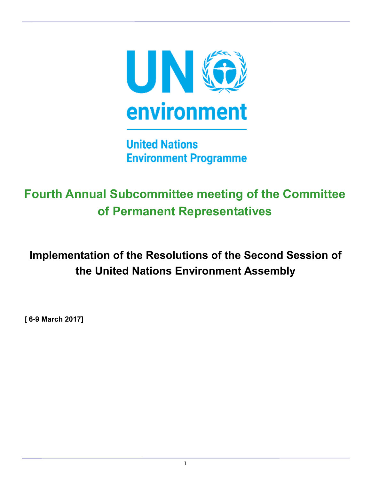

**United Nations Environment Programme** 

# **Fourth Annual Subcommittee meeting of the Committee of Permanent Representatives**

**Implementation of the Resolutions of the Second Session of the United Nations Environment Assembly**

**[ 6-9 March 2017]**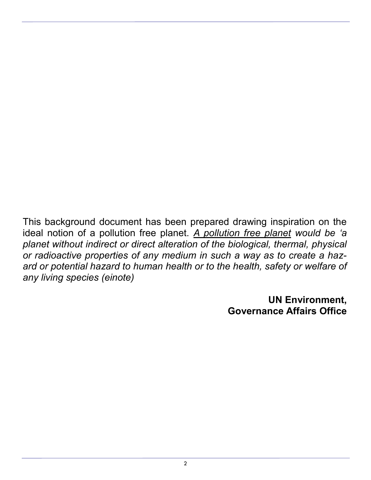This background document has been prepared drawing inspiration on the ideal notion of a pollution free planet. *A pollution free planet would be 'a planet without indirect or direct alteration of the biological, thermal, physical or radioactive properties of any medium in such a way as to create a hazard or potential hazard to human health or to the health, safety or welfare of any living species (einote)*

> **UN Environment, Governance Affairs Office**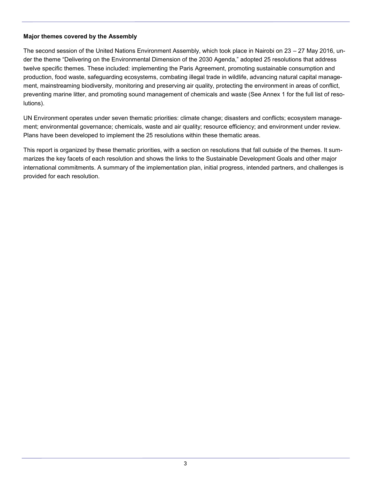### **Major themes covered by the Assembly**

The second session of the United Nations Environment Assembly, which took place in Nairobi on 23 – 27 May 2016, under the theme "Delivering on the Environmental Dimension of the 2030 Agenda," adopted 25 resolutions that address twelve specific themes. These included: implementing the Paris Agreement, promoting sustainable consumption and production, food waste, safeguarding ecosystems, combating illegal trade in wildlife, advancing natural capital management, mainstreaming biodiversity, monitoring and preserving air quality, protecting the environment in areas of conflict, preventing marine litter, and promoting sound management of chemicals and waste (See Annex 1 for the full list of resolutions).

UN Environment operates under seven thematic priorities: climate change; disasters and conflicts; ecosystem management; environmental governance; chemicals, waste and air quality; resource efficiency; and environment under review. Plans have been developed to implement the 25 resolutions within these thematic areas.

This report is organized by these thematic priorities, with a section on resolutions that fall outside of the themes. It summarizes the key facets of each resolution and shows the links to the Sustainable Development Goals and other major international commitments. A summary of the implementation plan, initial progress, intended partners, and challenges is provided for each resolution.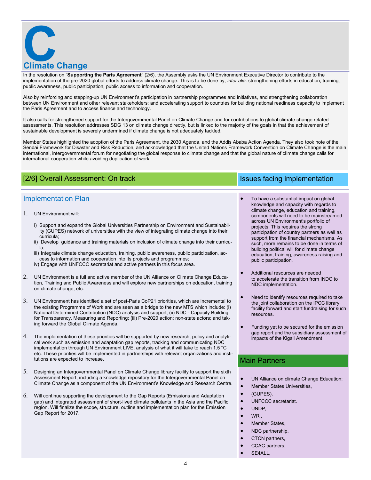

In the resolution on "**Supporting the Paris Agreement**" (2/6), the Assembly asks the UN Environment Executive Director to contribute to the implementation of the pre-2020 global efforts to address climate change. This is to be done by, *inter alia*: strengthening efforts in education, training, public awareness, public participation, public access to information and cooperation.

Also by reinforcing and stepping-up UN Environment's participation in partnership programmes and initiatives, and strengthening collaboration between UN Environment and other relevant stakeholders; and accelerating support to countries for building national readiness capacity to implement the Paris Agreement and to access finance and technology.

It also calls for strengthened support for the Intergovernmental Panel on Climate Change and for contributions to global climate-change related assessments. This resolution addresses SDG 13 on climate change directly, but is linked to the majority of the goals in that the achievement of sustainable development is severely undermined if climate change is not adequately tackled.

Member States highlighted the adoption of the Paris Agreement, the 2030 Agenda, and the Addis Ababa Action Agenda. They also took note of the Sendai Framework for Disaster and Risk Reduction, and acknowledged that the United Nations Framework Convention on Climate Change is the main international, intergovernmental forum for negotiating the global response to climate change and that the global nature of climate change calls for international cooperation while avoiding duplication of work.

# [2/6] Overall Assessment: On track Issues facing implementation

### Implementation Plan

- UN Environment will:
	- i) Support and expand the Global Universities Partnership on Environment and Sustainability (GUPES) network of universities with the view of integrating climate change into their curricula;
	- ii) Develop guidance and training materials on inclusion of climate change into their curricula;
	- iii) Integrate climate change education, training, public awareness, public participation, access to information and cooperation into its projects and programmes; iv) Engage with UNFCCC secretariat and active partners in this focus area.
	-
- UN Environment is a full and active member of the UN Alliance on Climate Change Education, Training and Public Awareness and will explore new partnerships on education, training on climate change, etc.
- UN Environment has identified a set of post-Paris CoP21 priorities, which are incremental to the existing Programme of Work and are seen as a bridge to the new MTS which include: (i) National Determined Contribution (NDC) analysis and support; (ii) NDC - Capacity Building for Transparency, Measuring and Reporting; (iii) Pre-2020 action; non-state actors; and taking forward the Global Climate Agenda.
- The implementation of these priorities will be supported by new research, policy and analytical work such as emission and adaptation gap reports, tracking and communicating NDC implementation through UN Environment LIVE, analysis of what it will take to reach 1.5 °C etc. These priorities will be implemented in partnerships with relevant organizations and institutions are expected to increase.
- Designing an Intergovernmental Panel on Climate Change library facility to support the sixth Assessment Report, including a knowledge repository for the Intergovernmental Panel on Climate Change as a component of the UN Environment's Knowledge and Research Centre.
- Will continue supporting the development to the Gap Reports (Emissions and Adaptation gap) and integrated assessment of short-lived climate pollutants in the Asia and the Pacific region. Will finalize the scope, structure, outline and implementation plan for the Emission Gap Report for 2017.

- To have a substantial impact on global knowledge and capacity with regards to climate change, education and training, components will need to be mainstreamed across UN Environment's portfolio of projects. This requires the strong participation of country partners as well as support from the financial mechanisms. As such, more remains to be done in terms of building political will for climate change education, training, awareness raising and public participation.
- Additional resources are needed to accelerate the transition from INDC to NDC implementation.
- Need to identify resources required to take the joint collaboration on the IPCC library facility forward and start fundraising for such resources.
- Funding yet to be secured for the emission gap report and the subsidiary assessment of impacts of the Kigali Amendment

### Main Partners

- UN Alliance on climate Change Education;
- Member States Universities,
- (GUPES),
- UNFCCC secretariat.
	- UNDP,
- **WRI**
- Member States,
- NDC partnership,
- CTCN partners,
- CCAC partners,
- SE4ALL,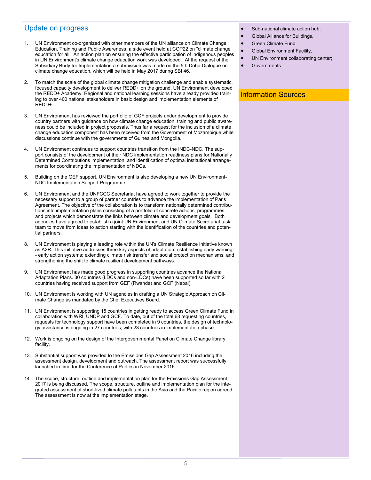### Update on progress

- 1. UN Environment co-organized with other members of the UN alliance on Climate Change Education, Training and Public Awareness, a side event held at COP22 on "climate change education for all. An action plan on ensuring the effective participation of indigenous peoples in UN Environment's climate change education work was developed. At the request of the Subsidiary Body for Implementation a submission was made on the 5th Doha Dialogue on climate change education, which will be held in May 2017 during SBI 46.
- 2. To match the scale of the global climate change mitigation challenge and enable systematic, focused capacity development to deliver REDD+ on the ground, UN Environment developed the REDD+ Academy. Regional and national learning sessions have already provided training to over 400 national stakeholders in basic design and implementation elements of REDD+.
- 3. UN Environment has reviewed the portfolio of GCF projects under development to provide country partners with guidance on how climate change education, training and public awareness could be included in project proposals. Thus far a request for the inclusion of a climate change education component has been received from the Government of Mozambique while discussions continue with the governments of Guinea and Mongolia.
- 4. UN Environment continues to support countries transition from the INDC-NDC. The support consists of the development of their NDC implementation readiness plans for Nationally Determined Contributions implementation; and identification of optimal institutional arrangements for coordinating the implementation of NDCs.
- Building on the GEF support, UN Environment is also developing a new UN Environment-NDC Implementation Support Programme.
- 6. UN Environment and the UNFCCC Secretariat have agreed to work together to provide the necessary support to a group of partner countries to advance the implementation of Paris Agreement. The objective of the collaboration is to transform nationally determined contributions into implementation plans consisting of a portfolio of concrete actions, programmes, and projects which demonstrate the links between climate and development goals. Both agencies have agreed to establish a joint UN Environment and UN Climate Secretariat task team to move from ideas to action starting with the identification of the countries and potential partners.
- 8. UN Environment is playing a leading role within the UN's Climate Resilience Initiative known as A2R. This initiative addresses three key aspects of adaptation: establishing early warning - early action systems; extending climate risk transfer and social protection mechanisms; and strengthening the shift to climate resilient development pathways.
- UN Environment has made good progress in supporting countries advance the National Adaptation Plans. 30 countries (LDCs and non-LDCs) have been supported so far with 2 countries having received support from GEF (Rwanda) and GCF (Nepal).
- 10. UN Environment is working with UN agencies in drafting a UN Strategic Approach on Climate Change as mandated by the Chef Executives Board.
- 11. UN Environment is supporting 15 countries in getting ready to access Green Climate Fund in collaboration with WRI, UNDP and GCF. To date, out of the total 68 requesting countries, requests for technology support have been completed in 9 countries, the design of technology assistance is ongoing in 27 countries, with 23 countries in implementation phase.
- 12. Work is ongoing on the design of the Intergovernmental Panel on Climate Change library facility.
- 13. Substantial support was provided to the Emissions Gap Assessment 2016 including the assessment design, development and outreach. The assessment report was successfully launched in time for the Conference of Parties in November 2016.
- 14. The scope, structure, outline and implementation plan for the Emissions Gap Assessment 2017 is being discussed. The scope, structure, outline and implementation plan for the integrated assessment of short-lived climate pollutants in the Asia and the Pacific region agreed. The assessment is now at the implementation stage.
- Sub-national climate action hub.
- Global Alliance for Buildings,
- Green Climate Fund,
- Global Environment Facility,
- UN Environment collaborating center;
- **Governments**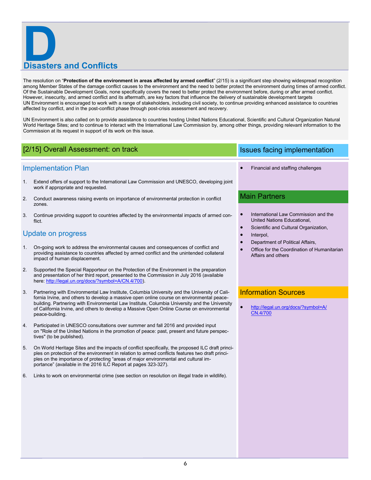# **Disasters and Conflicts**

The resolution on "Protection of the environment in areas affected by armed conflict" (2/15) is a significant step showing widespread recognition among Member States of the damage conflict causes to the environment and the need to better protect the environment during times of armed conflict. Of the Sustainable Development Goals, none specifically covers the need to better protect the environment before, during or after armed conflict. However, insecurity, and armed conflict and its aftermath, are key factors that influence the delivery of sustainable development targets UN Environment is encouraged to work with a range of stakeholders, including civil society, to continue providing enhanced assistance to countries affected by conflict, and in the post-conflict phase through post-crisis assessment and recovery.

UN Environment is also called on to provide assistance to countries hosting United Nations Educational, Scientific and Cultural Organization Natural World Heritage Sites; and to continue to interact with the International Law Commission by, among other things, providing relevant information to the Commission at its request in support of its work on this issue.

## [2/15] Overall Assessment: on track Issues facing implementation

### Implementation Plan

- 1. Extend offers of support to the International Law Commission and UNESCO, developing joint work if appropriate and requested.
- 2. Conduct awareness raising events on importance of environmental protection in conflict zones.
- 3. Continue providing support to countries affected by the environmental impacts of armed conflict.

### Update on progress

- 1. On-going work to address the environmental causes and consequences of conflict and providing assistance to countries affected by armed conflict and the unintended collateral impact of human displacement.
- 2. Supported the Special Rapporteur on the Protection of the Environment in the preparation and presentation of her third report, presented to the Commission in July 2016 (available here: [http://legal.un.org/docs/?symbol=A/CN.4/700\).](http://legal.un.org/docs/?symbol=A/CN.4/700)
- 3. Partnering with Environmental Law Institute, Columbia University and the University of California Irvine, and others to develop a massive open online course on environmental peacebuilding. Partnering with Environmental Law Institute, Columbia University and the University of California Irvine, and others to develop a Massive Open Online Course on environmental peace-building.
- 4. Participated in UNESCO consultations over summer and fall 2016 and provided input on "Role of the United Nations in the promotion of peace: past, present and future perspectives" (to be published).
- 5. On World Heritage Sites and the impacts of conflict specifically, the proposed ILC draft principles on protection of the environment in relation to armed conflicts features two draft principles on the importance of protecting "areas of major environmental and cultural importance" (available in the 2016 ILC Report at pages 323-327).
- 6. Links to work on environmental crime (see section on resolution on illegal trade in wildlife).

Financial and staffing challenges

### Main Partners

- International Law Commission and the United Nations Educational,
- Scientific and Cultural Organization,
- Interpol,
- Department of Political Affairs,
- Office for the Coordination of Humanitarian Affairs and others

### Information Sources

 [http://legal.un.org/docs/?symbol=A/](http://legal.un.org/docs/?symbol=A/CN.4/700) [CN.4/700](http://legal.un.org/docs/?symbol=A/CN.4/700)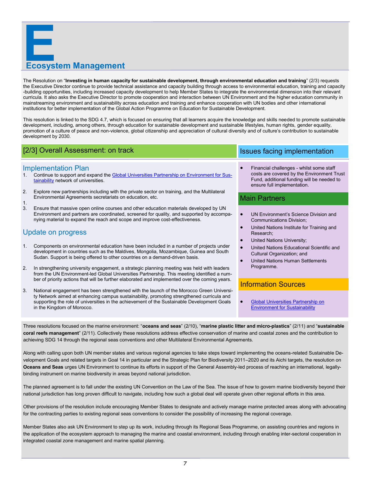# **Example 26 Management**

The Resolution on "**Investing in human capacity for sustainable development, through environmental education and training**" (2/3) requests the Executive Director continue to provide technical assistance and capacity building through access to environmental education, training and capacity -building opportunities, including increased capacity development to help Member States to integrate the environmental dimension into their relevant curricula. It also asks the Executive Director to promote cooperation and interaction between UN Environment and the higher education community in mainstreaming environment and sustainability across education and training and enhance cooperation with UN bodies and other international institutions for better implementation of the Global Action Programme on Education for Sustainable Development.

This resolution is linked to the SDG 4.7, which is focused on ensuring that all learners acquire the knowledge and skills needed to promote sustainable development, including, among others, through education for sustainable development and sustainable lifestyles, human rights, gender equality, promotion of a culture of peace and non-violence, global citizenship and appreciation of cultural diversity and of culture's contribution to sustainable development by 2030.

# [2/3] Overall Assessment: on track Issues facing implementation

### Implementation Plan

- 1. Continue to support and expand the [Global Universities Partnership on Environment for Sus](http://gupes.org/index.php?classid=3234)[tainability](http://gupes.org/index.php?classid=3234) network of universities.
- 2. Explore new partnerships including with the private sector on training, and the Multilateral Environmental Agreements secretariats on education, etc. 1.
- 3. Ensure that massive open online courses and other education materials developed by UN Environment and partners are coordinated, screened for quality, and supported by accompanying material to expand the reach and scope and improve cost-effectiveness.

# Update on progress

- 1. Components on environmental education have been included in a number of projects under development in countries such as the Maldives, Mongolia, Mozambique, Guinea and South Sudan. Support is being offered to other countries on a demand-driven basis.
- 2. In strengthening university engagement, a strategic planning meeting was held with leaders from the UN Environment-led Global Universities Partnership. This meeting identified a number of priority actions that will be further elaborated and implemented over the coming years.
- 3. National engagement has been strengthened with the launch of the Morocco Green University Network aimed at enhancing campus sustainability, promoting strengthened curricula and supporting the role of universities in the achievement of the Sustainable Development Goals in the Kingdom of Morocco.

 Financial challenges - whilst some staff costs are covered by the Environment Trust Fund, additional funding will be needed to ensure full implementation.

### Main Partners

- UN Environment's Science Division and Communications Division;
- United Nations Institute for Training and Research;
- United Nations University;
- United Nations Educational Scientific and Cultural Organization; and
- United Nations Human Settlements Programme.

## Information Sources

 [Global Universities Partnership on](http://gupes.org/index.php?classid=3234)  [Environment for Sustainability](http://gupes.org/index.php?classid=3234)

Three resolutions focused on the marine environment: "**oceans and seas**" (2/10), "**marine plastic litter and micro-plastics**" (2/11) and "**sustainable coral reefs management**" (2/11). Collectively these resolutions address effective conservation of marine and coastal zones and the contribution to achieving SDG 14 through the regional seas conventions and other Multilateral Environmental Agreements.

Along with calling upon both UN member states and various regional agencies to take steps toward implementing the oceans-related Sustainable Development Goals and related targets in Goal 14 in particular and the Strategic Plan for Biodiversity 2011–2020 and its Aichi targets, the resolution on **Oceans and Seas** urges UN Environment to continue its efforts in support of the General Assembly-led process of reaching an international, legallybinding instrument on marine biodiversity in areas beyond national jurisdiction.

The planned agreement is to fall under the existing UN Convention on the Law of the Sea. The issue of how to govern marine biodiversity beyond their national jurisdiction has long proven difficult to navigate, including how such a global deal will operate given other regional efforts in this area.

Other provisions of the resolution include encouraging Member States to designate and actively manage marine protected areas along with advocating for the contracting parties to existing regional seas conventions to consider the possibility of increasing the regional coverage.

Member States also ask UN Environment to step up its work, including through its Regional Seas Programme, on assisting countries and regions in the application of the ecosystem approach to managing the marine and coastal environment, including through enabling inter-sectoral cooperation in integrated coastal zone management and marine spatial planning.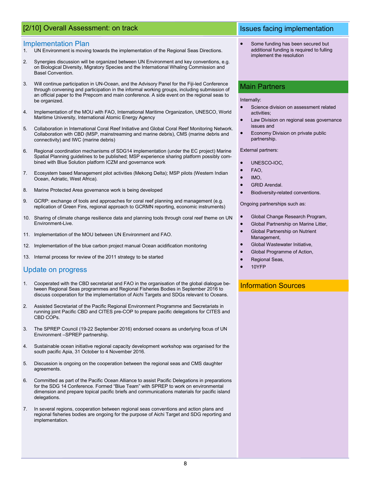## [2/10] Overall Assessment: on track Issues facing implementation

### Implementation Plan

- 1. UN Environment is moving towards the implementation of the Regional Seas Directions.
- 2. Synergies discussion will be organized between UN Environment and key conventions, e.g. on Biological Diversity, Migratory Species and the International Whaling Commission and Basel Convention.
- 3. Will continue participation in UN-Ocean, and the Advisory Panel for the Fiji-led Conference through convening and participation in the informal working groups, including submission of an official paper to the Prepcom and main conference. A side event on the regional seas to be organized.
- 4. Implementation of the MOU with FAO, International Maritime Organization, UNESCO, World Maritime University, International Atomic Energy Agency
- 5. Collaboration in International Coral Reef Initiative and Global Coral Reef Monitoring Network. Collaboration with CBD (MSP, mainstreaming and marine debris), CMS (marine debris and connectivity) and IWC (marine debris)
- 6. Regional coordination mechanisms of SDG14 implementation (under the EC project) Marine Spatial Planning guidelines to be published; MSP experience sharing platform possibly combined with Blue Solution platform ICZM and governance work
- 7. Ecosystem based Management pilot activities (Mekong Delta); MSP pilots (Western Indian Ocean, Adriatic, West Africa).
- 8. Marine Protected Area governance work is being developed
- 9. GCRP: exchange of tools and approaches for coral reef planning and management (e.g. replication of Green Fins, regional approach to GCRMN reporting, economic instruments)
- 10. Sharing of climate change resilience data and planning tools through coral reef theme on UN Environment-Live.
- 11. Implementation of the MOU between UN Environment and FAO.
- 12. Implementation of the blue carbon project manual Ocean acidification monitoring
- 13. Internal process for review of the 2011 strategy to be started

### Update on progress

- 1. Cooperated with the CBD secretariat and FAO in the organisation of the global dialogue between Regional Seas programmes and Regional Fisheries Bodies in September 2016 to discuss cooperation for the implementation of Aichi Targets and SDGs relevant to Oceans.
- 2. Assisted Secretariat of the Pacific Regional Environment Programme and Secretariats in running joint Pacific CBD and CITES pre-COP to prepare pacific delegations for CITES and CBD COPs.
- 3. The SPREP Council (19-22 September 2016) endorsed oceans as underlying focus of UN Environment –SPREP partnership.
- 4. Sustainable ocean initiative regional capacity development workshop was organised for the south pacific Apia, 31 October to 4 November 2016.
- 5. Discussion is ongoing on the cooperation between the regional seas and CMS daughter agreements.
- 6. Committed as part of the Pacific Ocean Alliance to assist Pacific Delegations in preparations for the SDG 14 Conference. Formed "Blue Team" with SPREP to work on environmental dimension and prepare topical pacific briefs and communications materials for pacific island delegations.
- 7. In several regions, cooperation between regional seas conventions and action plans and regional fisheries bodies are ongoing for the purpose of Aichi Target and SDG reporting and implementation.

 Some funding has been secured but additional funding is required to fulling implement the resolution

### Main Partners

### Internally:

- Science division on assessment related activities;
- Law Division on regional seas governance issues and
- Economy Division on private public partnership.

### External partners:

- UNESCO-IOC,
- FAO,
- IMO,
- GRID Arendal.
- Biodiversity-related conventions.

Ongoing partnerships such as:

- Global Change Research Program,
- Global Partnership on Marine Litter, Global Partnership on Nutrient
- Management, Global Wastewater Initiative,
- Global Programme of Action,
- Regional Seas,
- 10YFP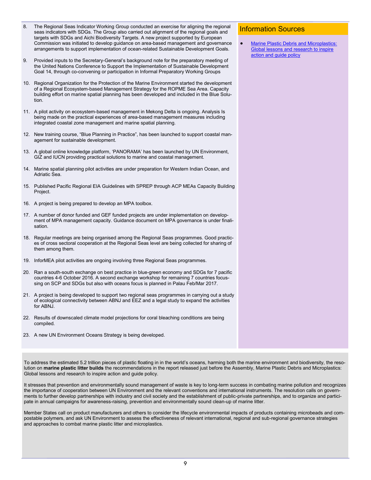| 8. | The Regional Seas Indicator Working Group conducted an exercise for aligning the regional<br>seas indicators with SDGs. The Group also carried out alignment of the regional goals and<br>targets with SDGs and Aichi Biodiversity Targets. A new project supported by European<br>Commission was initiated to develop guidance on area-based management and governance<br>arrangements to support implementation of ocean-related Sustainable Development Goals. | <b>Information Sources</b><br><b>Marine Plastic Debris and Microplastics:</b><br>$\bullet$<br>Global lessons and research to inspire |
|----|-------------------------------------------------------------------------------------------------------------------------------------------------------------------------------------------------------------------------------------------------------------------------------------------------------------------------------------------------------------------------------------------------------------------------------------------------------------------|--------------------------------------------------------------------------------------------------------------------------------------|
| 9. | Provided inputs to the Secretary-General's background note for the preparatory meeting of<br>the United Nations Conference to Support the Implementation of Sustainable Development<br>Goal 14, through co-convening or participation in Informal Preparatory Working Groups                                                                                                                                                                                      | action and guide policy                                                                                                              |
|    | 10. Regional Organization for the Protection of the Marine Environment started the development<br>of a Regional Ecosystem-based Management Strategy for the ROPME Sea Area. Capacity<br>building effort on marine spatial planning has been developed and included in the Blue Solu-<br>tion.                                                                                                                                                                     |                                                                                                                                      |
|    | 11. A pilot activity on ecosystem-based management in Mekong Delta is ongoing. Analysis Is<br>being made on the practical experiences of area-based management measures including<br>integrated coastal zone management and marine spatial planning.                                                                                                                                                                                                              |                                                                                                                                      |
|    | 12. New training course, "Blue Planning in Practice", has been launched to support coastal man-<br>agement for sustainable development.                                                                                                                                                                                                                                                                                                                           |                                                                                                                                      |
|    | 13. A global online knowledge platform, 'PANORAMA' has been launched by UN Environment,<br>GIZ and IUCN providing practical solutions to marine and coastal management.                                                                                                                                                                                                                                                                                           |                                                                                                                                      |
|    | 14. Marine spatial planning pilot activities are under preparation for Western Indian Ocean, and<br>Adriatic Sea.                                                                                                                                                                                                                                                                                                                                                 |                                                                                                                                      |
|    | 15. Published Pacific Regional EIA Guidelines with SPREP through ACP MEAs Capacity Building<br>Project.                                                                                                                                                                                                                                                                                                                                                           |                                                                                                                                      |
|    | 16. A project is being prepared to develop an MPA toolbox.                                                                                                                                                                                                                                                                                                                                                                                                        |                                                                                                                                      |
|    | 17. A number of donor funded and GEF funded projects are under implementation on develop-<br>ment of MPA management capacity. Guidance document on MPA governance is under finali-<br>sation.                                                                                                                                                                                                                                                                     |                                                                                                                                      |
|    | 18. Regular meetings are being organised among the Regional Seas programmes. Good practic-<br>es of cross sectoral cooperation at the Regional Seas level are being collected for sharing of<br>them among them.                                                                                                                                                                                                                                                  |                                                                                                                                      |
|    | 19. InforMEA pilot activities are ongoing involving three Regional Seas programmes.                                                                                                                                                                                                                                                                                                                                                                               |                                                                                                                                      |
|    | 20. Ran a south-south exchange on best practice in blue-green economy and SDGs for 7 pacific<br>countries 4-6 October 2016. A second exchange workshop for remaining 7 countries focus-<br>sing on SCP and SDGs but also with oceans focus is planned in Palau Feb/Mar 2017.                                                                                                                                                                                      |                                                                                                                                      |
|    | 21. A project is being developed to support two regional seas programmes in carrying out a study<br>of ecological connectivity between ABNJ and EEZ and a legal study to expand the activities<br>for ABNJ.                                                                                                                                                                                                                                                       |                                                                                                                                      |
|    | 22. Results of downscaled climate model projections for coral bleaching conditions are being<br>compiled.                                                                                                                                                                                                                                                                                                                                                         |                                                                                                                                      |
|    | 23. A new UN Environment Oceans Strategy is being developed.                                                                                                                                                                                                                                                                                                                                                                                                      |                                                                                                                                      |

To address the estimated 5.2 trillion pieces of plastic floating in in the world's oceans, harming both the marine environment and biodiversity, the resolution on **marine plastic litter builds** the recommendations in the report released just before the Assembly, Marine Plastic Debris and Microplastics: Global lessons and research to inspire action and guide policy.

It stresses that prevention and environmentally sound management of waste is key to long-term success in combating marine pollution and recognizes the importance of cooperation between UN Environment and the relevant conventions and international instruments. The resolution calls on governments to further develop partnerships with industry and civil society and the establishment of public-private partnerships, and to organize and participate in annual campaigns for awareness-raising, prevention and environmentally sound clean-up of marine litter.

Member States call on product manufacturers and others to consider the lifecycle environmental impacts of products containing microbeads and compostable polymers, and ask UN Environment to assess the effectiveness of relevant international, regional and sub-regional governance strategies and approaches to combat marine plastic litter and microplastics.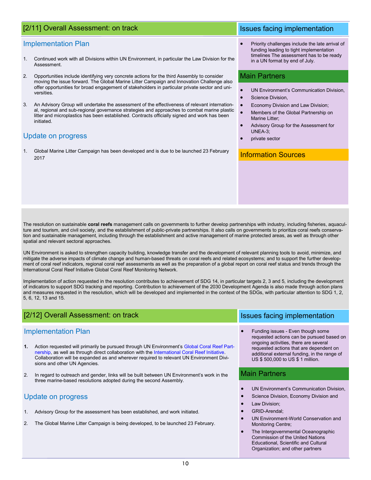# [2/11] Overall Assessment: on track Issues facing implementation

### Implementation Plan

- 1. Continued work with all Divisions within UN Environment, in particular the Law Division for the Assessment.
- 2. Opportunities include identifying very concrete actions for the third Assembly to consider moving the issue forward. The Global Marine Litter Campaign and Innovation Challenge also offer opportunities for broad engagement of stakeholders in particular private sector and universities.
- 3. An Advisory Group will undertake the assessment of the effectiveness of relevant international, regional and sub-regional governance strategies and approaches to combat marine plastic litter and microplastics has been established. Contracts officially signed and work has been initiated.

### Update on progress

1. Global Marine Litter Campaign has been developed and is due to be launched 23 February 2017

 Priority challenges include the late arrival of funding leading to tight implementation timelines The assessment has to be ready in a UN format by end of July.

### Main Partners

- UN Environment's Communication Division,
- Science Division,
- Economy Division and Law Division;
- Members of the Global Partnership on Marine Litter;
- Advisory Group for the Assessment for UNEA-3;
- private sector

### Information Sources

The resolution on sustainable **coral reefs** management calls on governments to further develop partnerships with industry, including fisheries, aquaculture and tourism, and civil society, and the establishment of public-private partnerships. It also calls on governments to prioritize coral reefs conservation and sustainable management, including through the establishment and active management of marine protected areas, as well as through other spatial and relevant sectoral approaches.

UN Environment is asked to strengthen capacity building, knowledge transfer and the development of relevant planning tools to avoid, minimize, and mitigate the adverse impacts of climate change and human-based threats on coral reefs and related ecosystems; and to support the further development of coral reef indicators, regional coral reef assessments as well as the preparation of a global report on coral reef status and trends through the International Coral Reef Initiative Global Coral Reef Monitoring Network.

Implementation of action requested in the resolution contributes to achievement of SDG 14, in particular targets 2, 3 and 5, including the development of indicators to support SDG tracking and reporting. Contribution to achievement of the 2030 Development Agenda is also made through action plans and measures requested in the resolution, which will be developed and implemented in the context of the SDGs, with particular attention to SDG 1, 2, 5, 6, 12, 13 and 15.

### Funding issues - Even though some requested actions can be pursued based on ongoing activities, there are several requested actions that are dependent on additional external funding, in the range of US \$ 500,000 to US \$ 1 million. UN Environment's Communication Division, Science Division, Economy Division and Law Division; GRID-Arendal; UN Environment-World Conservation and Monitoring Centre; [2/12] Overall Assessment: on track Issues facing implementation Implementation Plan **1.** Action requested will primarily be pursued through UN Environment's [Global Coral Reef Part](https://sustainabledevelopment.un.org/partnership/?progress&id=237)[nership,](https://sustainabledevelopment.un.org/partnership/?progress&id=237) as well as through direct collaboration with the [International Coral Reef Initiative.](http://www.icriforum.org/) Collaboration will be expanded as and wherever required to relevant UN Environment Divisions and other UN Agencies. 2. In regard to outreach and gender, links will be built between UN Environment's work in the three marine-based resolutions adopted during the second Assembly. Update on progress 1. Advisory Group for the assessment has been established, and work initiated. 2. The Global Marine Litter Campaign is being developed, to be launched 23 February. Main Partners

 The Intergovernmental Oceanographic Commission of the United Nations Educational, Scientific and Cultural Organization; and other partners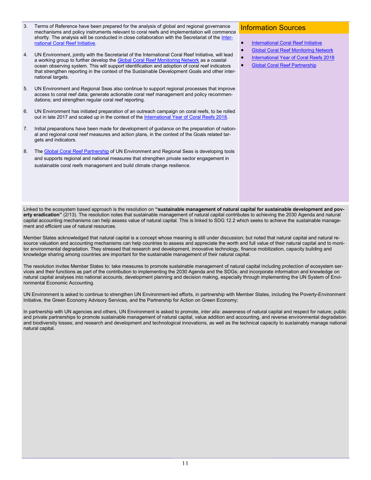- 3. Terms of Reference have been prepared for the analysis of global and regional governance mechanisms and policy instruments relevant to coral reefs and implementation will commence shortly. The analysis will be conducted in close collaboration with the Secretariat of the [Inter](http://www.icriforum.org/)[national Coral Reef Initiative.](http://www.icriforum.org/)
- 4. UN Environment, jointly with the Secretariat of the International Coral Reef Initiative, will lead a working group to further develop the **Global Coral Reef Monitoring Network** as a coastal ocean observing system. This will support identification and adoption of coral reef indicators that strengthen reporting in the context of the Sustainable Development Goals and other international targets.
- 5. UN Environment and Regional Seas also continue to support regional processes that improve access to coral reef data; generate actionable coral reef management and policy recommendations; and strengthen regular coral reef reporting.
- 6. UN Environment has initiated preparation of an outreach campaign on coral reefs, to be rolled out in late 2017 and scaled up in the context of the [International Year of Coral Reefs 2018.](http://www.icriforum.org/about-icri/iyor)
- 7. Initial preparations have been made for development of guidance on the preparation of national and regional coral reef measures and action plans, in the context of the Goals related targets and indicators.
- 8. The [Global Coral Reef Partnership](https://sustainabledevelopment.un.org/partnership/?p=7450) of UN Environment and Regional Seas is developing tools and supports regional and national measures that strengthen private sector engagement in sustainable coral reefs management and build climate change resilience.

### Information Sources

- [International Coral Reef Initiative](http://www.icriforum.org/)
- **[Global Coral Reef Monitoring Network](http://www.icriforum.org/gcrmn)**
- **[International Year of Coral Reefs 2018](http://www.icriforum.org/about-icri/iyor)**
- [Global Coral Reef Partnership](https://sustainabledevelopment.un.org/partnership/?p=7450)

Linked to the ecosystem based approach is the resolution on **"sustainable management of natural capital for sustainable development and poverty eradication"** (2/13). The resolution notes that sustainable management of natural capital contributes to achieving the 2030 Agenda and natural capital accounting mechanisms can help assess value of natural capital. This is linked to SDG 12.2 which seeks to achieve the sustainable management and efficient use of natural resources.

Member States acknowledged that natural capital is a concept whose meaning is still under discussion; but noted that natural capital and natural resource valuation and accounting mechanisms can help countries to assess and appreciate the worth and full value of their natural capital and to monitor environmental degradation. They stressed that research and development, innovative technology, finance mobilization, capacity building and knowledge sharing among countries are important for the sustainable management of their natural capital.

The resolution invites Member States to: take measures to promote sustainable management of natural capital including protection of ecosystem services and their functions as part of the contribution to implementing the 2030 Agenda and the SDGs; and incorporate information and knowledge on natural capital analyses into national accounts, development planning and decision making, especially through implementing the UN System of Environmental Economic Accounting.

UN Environment is asked to continue to strengthen UN Environment-led efforts, in partnership with Member States, including the Poverty-Environment Initiative, the Green Economy Advisory Services, and the Partnership for Action on Green Economy;

In partnership with UN agencies and others, UN Environment is asked to promote, *inter alia*: awareness of natural capital and respect for nature; public and private partnerships to promote sustainable management of natural capital, value addition and accounting, and reverse environmental degradation and biodiversity losses; and research and development and technological innovations, as well as the technical capacity to sustainably manage national natural capital.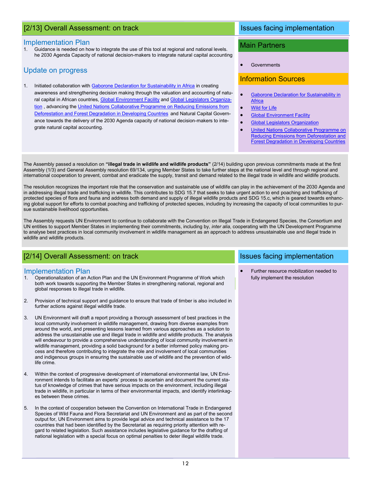# [2/13] Overall Assessment: on track Issues facing implementation

### Implementation Plan

Guidance is needed on how to integrate the use of this tool at regional and national levels. he 2030 Agenda Capacity of national decision-makers to integrate natural capital accounting

### Update on progress

1. Initiated collaboration with [Gaborone Declaration for Sustainability in Africa](http://www.gaboronedeclaration.com/) in creating awareness and strengthening decision making through the valuation and accounting of natu-ral capital in African countries, [Global Environment Facility](https://www.thegef.org/) and [Global Legislators Organiza](http://globelegislators.org/)[tion](http://globelegislators.org/), advancing the United Nations Collaborative Programme on Reducing Emissions from [Deforestation and Forest Degradation in Developing Countries](http://www.un-redd.org/) and Natural Capital Governance towards the delivery of the 2030 Agenda capacity of national decision-makers to integrate natural capital accounting.

### Main Partners

Governments

### Information Sources

- [Gaborone Declaration for Sustainability in](http://www.gaboronedeclaration.com/)  **[Africa](http://www.gaboronedeclaration.com/)**
- [Wild for Life](https://wildfor.life/)
- [Global Environment Facility](https://www.thegef.org/)
- [Global Legislators Organization](http://globelegislators.org/)
- [United Nations Collaborative Programme on](http://www.un-redd.org/)  [Reducing Emissions from Deforestation and](http://www.un-redd.org/)  [Forest Degradation in Developing Countries](http://www.un-redd.org/)

The Assembly passed a resolution on **"illegal trade in wildlife and wildlife products"** (2/14) building upon previous commitments made at the first Assembly (1/3) and General Assembly resolution 69/134, urging Member States to take further steps at the national level and through regional and international cooperation to prevent, combat and eradicate the supply, transit and demand related to the illegal trade in wildlife and wildlife products.

The resolution recognizes the important role that the conservation and sustainable use of wildlife can play in the achievement of the 2030 Agenda and in addressing illegal trade and trafficking in wildlife. This contributes to SDG 15.7 that seeks to take urgent action to end poaching and trafficking of protected species of flora and fauna and address both demand and supply of illegal wildlife products and SDG 15.c, which is geared towards enhancing global support for efforts to combat poaching and trafficking of protected species, including by increasing the capacity of local communities to pursue sustainable livelihood opportunities.

The Assembly requests UN Environment to continue to collaborate with the Convention on Illegal Trade in Endangered Species, the Consortium and UN entities to support Member States in implementing their commitments, including by, *inter alia*, cooperating with the UN Development Programme to analyse best practices in local community involvement in wildlife management as an approach to address unsustainable use and illegal trade in wildlife and wildlife products.

# [2/14] Overall Assessment: on track

### Implementation Plan

- both work towards supporting the Member States in strengthening national, regional and 1. Operationalization of an Action Plan and the UN Environment Programme of Work which global responses to illegal trade in wildlife.
- 2. Provision of technical support and guidance to ensure that trade of timber is also included in further actions against illegal wildlife trade.
- 3. UN Environment will draft a report providing a thorough assessment of best practices in the local community involvement in wildlife management, drawing from diverse examples from around the world, and presenting lessons learned from various approaches as a solution to address the unsustainable use and illegal trade in wildlife and wildlife products. The analysis will endeavour to provide a comprehensive understanding of local community involvement in wildlife management, providing a solid background for a better informed policy making process and therefore contributing to integrate the role and involvement of local communities and indigenous groups in ensuring the sustainable use of wildlife and the prevention of wildlife crime.
- 4. Within the context of progressive development of international environmental law, UN Environment intends to facilitate an experts' process to ascertain and document the current status of knowledge of crimes that have serious impacts on the environment, including illegal trade in wildlife, in particular in terms of their environmental impacts, and identify interlinkages between these crimes.
- 5. In the context of cooperation between the Convention on International Trade in Endangered Species of Wild Fauna and Flora Secretariat and UN Environment and as part of the second output for, UN Environment aims to provide legal advice and technical assistance to the 17 countries that had been identified by the Secretariat as requiring priority attention with regard to related legislation. Such assistance includes legislative guidance for the drafting of national legislation with a special focus on optimal penalties to deter illegal wildlife trade.

# Issues facing implementation

 Further resource mobilization needed to fully implement the resolution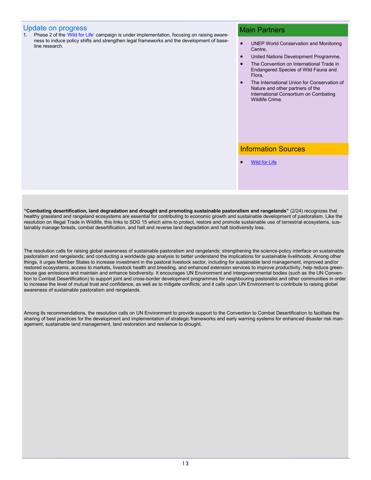### Update on progress

Phase 2 of the ['Wild for Life'](https://wildfor.life/) campaign is under implementation, focusing on raising awareness to induce policy shifts and strengthen legal frameworks and the development of baseline research.

### Main Partners

- UNEP World Conservation and Monitoring Centre,
- United Nations Development Programme,
- The Convention on International Trade in Endangered Species of Wild Fauna and Flora,
- The International Union for Conservation of Nature and other partners of the International Consortium on Combating Wildlife Crime.

### Information Sources

Wild for Life

**"Combating desertification, land degradation and drought and promoting sustainable pastoralism and rangelands"** (2/24) recognizes that healthy grassland and rangeland ecosystems are essential for contributing to economic growth and sustainable development of pastoralism. Like the resolution on Illegal Trade in Wildlife, this links to SDG 15 which aims to protect, restore and promote sustainable use of terrestrial ecosystems, sustainably manage forests, combat desertification, and halt and reverse land degradation and halt biodiversity loss.

The resolution calls for raising global awareness of sustainable pastoralism and rangelands; strengthening the science-policy interface on sustainable pastoralism and rangelands; and conducting a worldwide gap analysis to better understand the implications for sustainable livelihoods. Among other things, it urges Member States to increase investment in the pastoral livestock sector, including for sustainable land management, improved and/or restored ecosystems, access to markets, livestock health and breeding, and enhanced extension services to improve productivity, help reduce greenhouse gas emissions and maintain and enhance biodiversity. It encourages UN Environment and intergovernmental bodies (such as the UN Convention to Combat Desertification) to support joint and cross-border development programmes for neighbouring pastoralist and other communities in order to increase the level of mutual trust and confidence, as well as to mitigate conflicts; and it calls upon UN Environment to contribute to raising global awareness of sustainable pastoralism and rangelands.

Among its recommendations, the resolution calls on UN Environment to provide support to the Convention to Combat Desertification to facilitate the sharing of best practices for the development and implementation of strategic frameworks and early warning systems for enhanced disaster risk management, sustainable land management, land restoration and resilience to drought.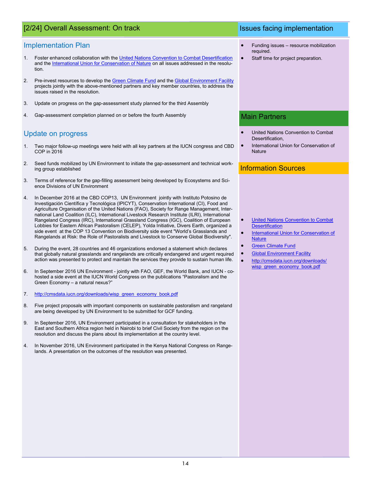# [2/24] Overall Assessment: On track Issues facing implementation

### Implementation Plan

- 1. Foster enhanced collaboration with the [United Nations Convention to Combat Desertification](http://www2.unccd.int/) and the [International Union for Conservation of Nature](https://www.iucn.org/) on all issues addressed in the resolution.
- 2. Pre-invest resources to develop the [Green Climate Fund](https://www.greenclimate.fund/home) and the [Global Environment Facility](https://www.thegef.org/) projects jointly with the above-mentioned partners and key member countries, to address the issues raised in the resolution.
- 3. Update on progress on the gap-assessment study planned for the third Assembly
- 4. Gap-assessment completion planned on or before the fourth Assembly

## Update on progress

- 1. Two major follow-up meetings were held with all key partners at the IUCN congress and CBD COP in 2016
- 2. Seed funds mobilized by UN Environment to initiate the gap-assessment and technical working group established
- 3. Terms of reference for the gap-filling assessment being developed by Ecosystems and Science Divisions of UN Environment
- 4. In December 2016 at the CBD COP13, UN Environment jointly with Instituto Potosino de Investigación Científica y Tecnológica (IPICYT), Conservation International (CI), Food and Agriculture Organisation of the United Nations (FAO), Society for Range Management, International Land Coalition (ILC), International Livestock Research Institute (ILRI), International Rangeland Congress (IRC), International Grassland Congress (IGC), Coalition of European Lobbies for Eastern African Pastoralism (CELEP), Yolda Initiative, Divers Earth, organized a side event at the COP 13 Convention on Biodiversity side event "World's Grasslands and Rangelands at Risk: the Role of Pastoralists and Livestock to Conserve Global Biodiversity".
- 5. During the event, 28 countries and 46 organizations endorsed a statement which declares that globally natural grasslands and rangelands are critically endangered and urgent required action was presented to protect and maintain the services they provide to sustain human life.
- 6. In September 2016 UN Environment jointly with FAO, GEF, the World Bank, and IUCN cohosted a side event at the IUCN World Congress on the publications "Pastoralism and the Green Economy – a natural nexus?"
- 7. [http://cmsdata.iucn.org/downloads/wisp\\_green\\_economy\\_book.pdf](http://cmsdata.iucn.org/downloads/wisp_green_economy_book.pdf)
- 8. Five project proposals with important components on sustainable pastoralism and rangeland are being developed by UN Environment to be submitted for GCF funding.
- 9. In September 2016, UN Environment participated in a consultation for stakeholders in the East and Southern Africa region held in Nairobi to brief Civil Society from the region on the resolution and discuss the plans about its implementation at the country level.
- 4. In November 2016, UN Environment participated in the Kenya National Congress on Rangelands. A presentation on the outcomes of the resolution was presented.

- Funding issues resource mobilization required.
- Staff time for project preparation.

### Main Partners

- United Nations Convention to Combat Desertification,
- International Union for Conservation of **Nature**

- [United Nations Convention to Combat](http://www2.unccd.int/)  **[Desertification](http://www2.unccd.int/)**
- [International Union for Conservation of](https://www.iucn.org/)  **[Nature](https://www.iucn.org/)**
- **[Green Climate Fund](https://www.greenclimate.fund/home)**
- **[Global Environment Facility](https://www.thegef.org/)**
- [http://cmsdata.iucn.org/downloads/](http://cmsdata.iucn.org/downloads/wisp_green_economy_book.pdf) [wisp\\_green\\_economy\\_book.pdf](http://cmsdata.iucn.org/downloads/wisp_green_economy_book.pdf)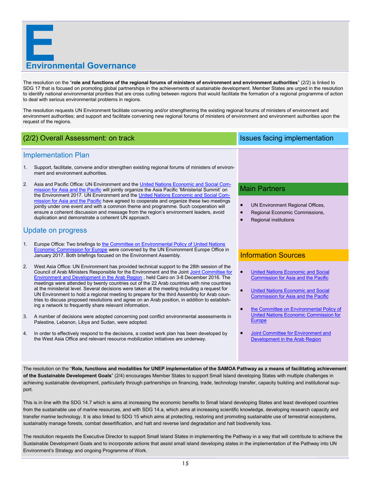

The resolution on the "**role and functions of the regional forums of ministers of environment and environment authorities**" (2/2) is linked to SDG 17 that is focused on promoting global partnerships in the achievements of sustainable development. Member States are urged in the resolution to identify national environmental priorities that are cross cutting between regions that would facilitate the formation of a regional programme of action to deal with serious environmental problems in regions.

The resolution requests UN Environment facilitate convening and/or strengthening the existing regional forums of ministers of environment and environment authorities; and support and facilitate convening new regional forums of ministers of environment and environment authorities upon the request of the regions.

# (2/2) Overall Assessment: on track Issues facing implementation

### Implementation Plan

- 1. Support, facilitate, convene and/or strengthen existing regional forums of ministers of environment and environment authorities.
- 2. Asia and Pacific Office: UN Environment and the [United Nations Economic and Social Com](http://www.unescap.org/)[mission for Asia and the Pacific](http://www.unescap.org/) will jointly organize the Asia Pacific 'Ministerial Summit' on the Environment 2017. UN Environment and the [United Nations Economic and Social Com](http://www.unescap.org/)[mission for Asia and the Pacific](http://www.unescap.org/) have agreed to cooperate and organize these two meetings jointly under one event and with a common theme and programme. Such cooperation will ensure a coherent discussion and message from the region's environment leaders, avoid duplication and demonstrate a coherent UN approach.

### Update on progress

- 1. Europe Office: Two briefings to the Committee on Environmental Policy of United Nations **[Economic Commission for Europe](https://www.unece.org/environmental-policy/committee-on-environmental-policy/committee-on-environmental-policy.html) were convened by the UN Environment Europe Office in** January 2017. Both briefings focused on the Environment Assembly.
- 2. West Asia Office: UN Environment has provided technical support to the 28th session of the Council of Arab Ministers Responsible for the Environment and the Joint [Joint Committee for](https://www.unescwa.org/joint-committee-environment-and-development-arab-region)  [Environment and Development in the Arab Region](https://www.unescwa.org/joint-committee-environment-and-development-arab-region) , held Cairo on 3-8 December 2016. The meetings were attended by twenty countries out of the 22 Arab countries with nine countries at the ministerial level. Several decisions were taken at the meeting including a request for UN Environment to hold a regional meeting to prepare for the third Assembly for Arab countries to discuss proposed resolutions and agree on an Arab position, in addition to establishing a network to frequently share relevant information.
- 3. A number of decisions were adopted concerning post conflict environmental assessments in Palestine, Lebanon, Libya and Sudan, were adopted.
- 4. In order to effectively respond to the decisions, a costed work plan has been developed by the West Asia Office and relevant resource mobilization initiatives are underway.

### Main Partners

- UN Environment Regional Offices,
- Regional Economic Commissions,
- Regional institutions

### Information Sources

- [United Nations Economic and Social](http://www.unescap.org/)  [Commission for Asia and the Pacific](http://www.unescap.org/)
- [United Nations Economic and Social](http://www.unescap.org/)  [Commission for Asia and the Pacific](http://www.unescap.org/)
- [the Committee on Environmental Policy of](https://www.unece.org/environmental-policy/committee-on-environmental-policy/committee-on-environmental-policy.html)  [United Nations Economic Commission for](https://www.unece.org/environmental-policy/committee-on-environmental-policy/committee-on-environmental-policy.html)  **[Europe](https://www.unece.org/environmental-policy/committee-on-environmental-policy/committee-on-environmental-policy.html)**
- **Joint Committee for Environment and** [Development in the Arab Region](https://www.unescwa.org/joint-committee-environment-and-development-arab-region)

The resolution on the "**Role, functions and modalities for UNEP implementation of the SAMOA Pathway as a means of facilitating achievement of the Sustainable Development Goals**" (2/4) encourages Member States to support Small Island developing States with multiple challenges in achieving sustainable development, particularly through partnerships on financing, trade, technology transfer, capacity building and institutional support.

This is in line with the SDG 14.7 which is aims at increasing the economic benefits to Small Island developing States and least developed countries from the sustainable use of marine resources, and with SDG 14.a, which aims at increasing scientific knowledge, developing research capacity and transfer marine technology. It is also linked to SDG 15 which aims at protecting, restoring and promoting sustainable use of terrestrial ecosystems, sustainably manage forests, combat desertification, and halt and reverse land degradation and halt biodiversity loss.

The resolution requests the Executive Director to support Small Island States in implementing the Pathway in a way that will contribute to achieve the Sustainable Development Goals and to incorporate actions that assist small island developing states in the implementation of the Pathway into UN Environment's Strategy and ongoing Programme of Work.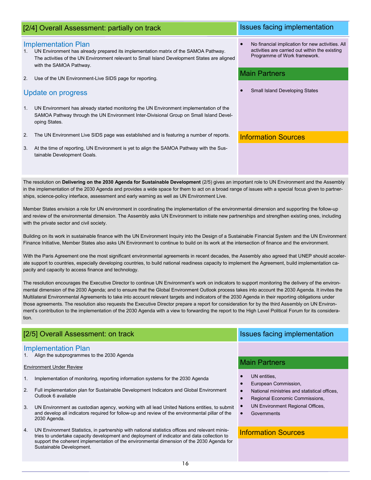|             | [2/4] Overall Assessment: partially on track                                                                                                                                                                                                 | Issues facing implementation                                                                                                       |
|-------------|----------------------------------------------------------------------------------------------------------------------------------------------------------------------------------------------------------------------------------------------|------------------------------------------------------------------------------------------------------------------------------------|
| $1_{\cdot}$ | <b>Implementation Plan</b><br>UN Environment has already prepared its implementation matrix of the SAMOA Pathway.<br>The activities of the UN Environment relevant to Small Island Development States are aligned<br>with the SAMOA Pathway. | No financial implication for new activities. All<br>activities are carried out within the existing<br>Programme of Work framework. |
| 2.          | Use of the UN Environment-Live SIDS page for reporting.                                                                                                                                                                                      | <b>Main Partners</b>                                                                                                               |
|             | Update on progress                                                                                                                                                                                                                           | <b>Small Island Developing States</b>                                                                                              |
| 1.          | UN Environment has already started monitoring the UN Environment implementation of the<br>SAMOA Pathway through the UN Environment Inter-Divisional Group on Small Island Devel-<br>oping States.                                            |                                                                                                                                    |
| 2.          | The UN Environment Live SIDS page was established and is featuring a number of reports.                                                                                                                                                      | <b>Information Sources</b>                                                                                                         |
| 3.          | At the time of reporting, UN Environment is yet to align the SAMOA Pathway with the Sus-<br>tainable Development Goals.                                                                                                                      |                                                                                                                                    |

The resolution on **Delivering on the 2030 Agenda for Sustainable Development** (2/5) gives an important role to UN Environment and the Assembly in the implementation of the 2030 Agenda and provides a wide space for them to act on a broad range of issues with a special focus given to partnerships, science-policy interface, assessment and early warning as well as UN Environment Live.

Member States envision a role for UN environment in coordinating the implementation of the environmental dimension and supporting the follow-up and review of the environmental dimension. The Assembly asks UN Environment to initiate new partnerships and strengthen existing ones, including with the private sector and civil society.

Building on its work in sustainable finance with the UN Environment Inquiry into the Design of a Sustainable Financial System and the UN Environment Finance Initiative, Member States also asks UN Environment to continue to build on its work at the intersection of finance and the environment.

With the Paris Agreement one the most significant environmental agreements in recent decades, the Assembly also agreed that UNEP should accelerate support to countries, especially developing countries, to build national readiness capacity to implement the Agreement, build implementation capacity and capacity to access finance and technology.

The resolution encourages the Executive Director to continue UN Environment's work on indicators to support monitoring the delivery of the environmental dimension of the 2030 Agenda; and to ensure that the Global Environment Outlook process takes into account the 2030 Agenda. It invites the Multilateral Environmental Agreements to take into account relevant targets and indicators of the 2030 Agenda in their reporting obligations under those agreements. The resolution also requests the Executive Director prepare a report for consideration for by the third Assembly on UN Environment's contribution to the implementation of the 2030 Agenda with a view to forwarding the report to the High Level Political Forum for its consideration.

### [2/5] Overall Assessment: on track Issues facing implementation

### Implementation Plan

1. Align the subprogrammes to the 2030 Agenda

### Environment Under Review

- 1. Implementation of monitoring, reporting information systems for the 2030 Agenda
- 2. Full implementation plan for Sustainable Development Indicators and Global Environment Outlook 6 available
- 3. UN Environment as custodian agency, working with all lead United Nations entities, to submit and develop all indicators required for follow-up and review of the environmental pillar of the 2030 Agenda.
- 4. UN Environment Statistics, in partnership with national statistics offices and relevant ministries to undertake capacity development and deployment of indicator and data collection to support the coherent implementation of the environmental dimension of the 2030 Agenda for Sustainable Development.

## Main Partners

- UN entities,
- European Commission,
- National ministries and statistical offices,
- Regional Economic Commissions,
	- UN Environment Regional Offices,
	- **Governments**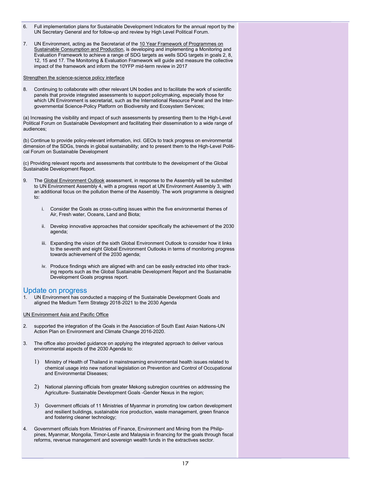- 6. Full implementation plans for Sustainable Development Indicators for the annual report by the UN Secretary General and for follow-up and review by High Level Political Forum.
- 7. UN Environment, acting as the Secretariat of the 10 Year Framework of Programmes on Sustainable Consumption and Production, is developing and implementing a Monitoring and Evaluation Framework to achieve a range of SDG targets as wells SDG targets in goals 2, 8, 12, 15 and 17. The Monitoring & Evaluation Framework will guide and measure the collective impact of the framework and inform the 10YFP mid-term review in 2017

### Strengthen the science-science policy interface

8. Continuing to collaborate with other relevant UN bodies and to facilitate the work of scientific panels that provide integrated assessments to support policymaking, especially those for which UN Environment is secretariat, such as the International Resource Panel and the Intergovernmental Science-Policy Platform on Biodiversity and Ecosystem Services;

(a) Increasing the visibility and impact of such assessments by presenting them to the High-Level Political Forum on Sustainable Development and facilitating their dissemination to a wide range of audiences;

(b) Continue to provide policy-relevant information, incl. GEOs to track progress on environmental dimension of the SDGs, trends in global sustainability; and to present them to the High-Level Political Forum on Sustainable Development

(c) Providing relevant reports and assessments that contribute to the development of the Global Sustainable Development Report.

- 9. The Global Environment Outlook assessment, in response to the Assembly will be submitted to UN Environment Assembly 4, with a progress report at UN Environment Assembly 3, with an additional focus on the pollution theme of the Assembly. The work programme is designed to:
	- i. Consider the Goals as cross-cutting issues within the five environmental themes of Air, Fresh water, Oceans, Land and Biota;
	- ii. Develop innovative approaches that consider specifically the achievement of the 2030 agenda;
	- iii. Expanding the vision of the sixth Global Environment Outlook to consider how it links to the seventh and eight Global Environment Outlooks in terms of monitoring progress towards achievement of the 2030 agenda;
	- iv. Produce findings which are aligned with and can be easily extracted into other tracking reports such as the Global Sustainable Development Report and the Sustainable Development Goals progress report.

### Update on progress

1. UN Environment has conducted a mapping of the Sustainable Development Goals and aligned the Medium Term Strategy 2018-2021 to the 2030 Agenda

UN Environment Asia and Pacific Office

- 2. supported the integration of the Goals in the Association of South East Asian Nations-UN Action Plan on Environment and Climate Change 2016-2020.
- 3. The office also provided guidance on applying the integrated approach to deliver various environmental aspects of the 2030 Agenda to:
	- Ministry of Health of Thailand in mainstreaming environmental health issues related to chemical usage into new national legislation on Prevention and Control of Occupational and Environmental Diseases;
	- National planning officials from greater Mekong subregion countries on addressing the Agriculture- Sustainable Development Goals -Gender Nexus in the region;
	- Government officials of 11 Ministries of Myanmar in promoting low carbon development and resilient buildings, sustainable rice production, waste management, green finance and fostering cleaner technology;
- 4. Government officials from Ministries of Finance, Environment and Mining from the Philippines, Myanmar, Mongolia, Timor-Leste and Malaysia in financing for the goals through fiscal reforms, revenue management and sovereign wealth funds in the extractives sector.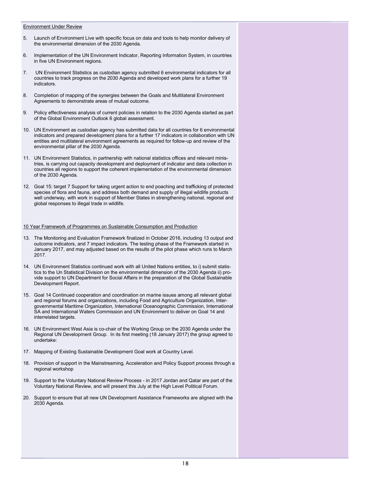### Environment Under Review

- 5. Launch of Environment Live with specific focus on data and tools to help monitor delivery of the environmental dimension of the 2030 Agenda.
- 6. Implementation of the UN Environment Indicator, Reporting Information System, in countries in five UN Environment regions.
- 7. UN Environment Statistics as custodian agency submitted 6 environmental indicators for all countries to track progress on the 2030 Agenda and developed work plans for a further 19 indicators.
- 8. Completion of mapping of the synergies between the Goals and Multilateral Environment Agreements to demonstrate areas of mutual outcome.
- 9. Policy effectiveness analysis of current policies in relation to the 2030 Agenda started as part of the Global Environment Outlook 6 global assessment.
- 10. UN Environment as custodian agency has submitted data for all countries for 6 environmental indicators and prepared development plans for a further 17 indicators in collaboration with UN entities and multilateral environment agreements as required for follow-up and review of the environmental pillar of the 2030 Agenda.
- 11. UN Environment Statistics, in partnership with national statistics offices and relevant ministries, is carrying out capacity development and deployment of indicator and data collection in countries all regions to support the coherent implementation of the environmental dimension of the 2030 Agenda.
- 12. Goal 15: target 7 Support for taking urgent action to end poaching and trafficking of protected species of flora and fauna, and address both demand and supply of illegal wildlife products well underway, with work in support of Member States in strengthening national, regional and global responses to illegal trade in wildlife.

### 10 Year Framework of Programmes on Sustainable Consumption and Production

- 13. The Monitoring and Evaluation Framework finalized in October 2016, including 13 output and outcome indicators, and 7 impact indicators. The testing phase of the Framework started in January 2017, and may adjusted based on the results of the pilot phase which runs to March 2017.
- 14. UN Environment Statistics continued work with all United Nations entities, to i) submit statistics to the Un Statistical Division on the environmental dimension of the 2030 Agenda ii) provide support to UN Department for Social Affairs in the preparation of the Global Sustainable Development Report.
- 15. Goal 14 Continued cooperation and coordination on marine issues among all relevant global and regional forums and organizations, including Food and Agriculture Organization, Intergovernmental Maritime Organization, International Oceanographic Commission, International SA and International Waters Commission and UN Environment to deliver on Goal 14 and interrelated targets.
- 16. UN Environment West Asia is co-chair of the Working Group on the 2030 Agenda under the Regional UN Development Group. In its first meeting (18 January 2017) the group agreed to undertake:
- 17. Mapping of Existing Sustainable Development Goal work at Country Level.
- 18. Provision of support in the Mainstreaming, Acceleration and Policy Support process through a regional workshop
- 19. Support to the Voluntary National Review Process in 2017 Jordan and Qatar are part of the Voluntary National Review, and will present this July at the High Level Political Forum.
- 20. Support to ensure that all new UN Development Assistance Frameworks are aligned with the 2030 Agenda.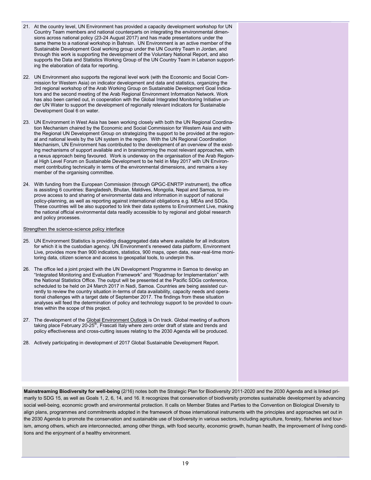- 21. At the country level, UN Environment has provided a capacity development workshop for UN Country Team members and national counterparts on integrating the environmental dimensions across national policy (23-24 August 2017) and has made presentations under the same theme to a national workshop in Bahrain. UN Environment is an active member of the Sustainable Development Goal working group under the UN Country Team in Jordan, and through this work is supporting the development of the Voluntary National Report, and also supports the Data and Statistics Working Group of the UN Country Team in Lebanon supporting the elaboration of data for reporting.
- 22. UN Environment also supports the regional level work (with the Economic and Social Commission for Western Asia) on indicator development and data and statistics, organizing the 3rd regional workshop of the Arab Working Group on Sustainable Development Goal Indicators and the second meeting of the Arab Regional Environment Information Network. Work has also been carried out, in cooperation with the Global Integrated Monitoring Initiative under UN Water to support the development of regionally relevant indicators for Sustainable Development Goal 6 on water.
- 23. UN Environment in West Asia has been working closely with both the UN Regional Coordination Mechanism chaired by the Economic and Social Commission for Western Asia and with the Regional UN Development Group on strategizing the support to be provided at the regional and national levels by the UN system in the region. With the UN Regional Coordination Mechanism, UN Environment has contributed to the development of an overview of the existing mechanisms of support available and in brainstorming the most relevant approaches, with a nexus approach being favoured. Work is underway on the organisation of the Arab Regional High Level Forum on Sustainable Development to be held in May 2017 with UN Environment contributing technically in terms of the environmental dimensions, and remains a key member of the organising committee.
- 24. With funding from the European Commission (through GPGC-ENRTP instrument), the office is assisting 6 countries: Bangladesh, Bhutan, Maldives, Mongolia, Nepal and Samoa, to improve access to and sharing of environmental data and information in support of national policy-planning, as well as reporting against international obligations e.g. MEAs and SDGs. These countries will be also supported to link their data systems to Environment Live, making the national official environmental data readily accessible to by regional and global research and policy processes.

### Strengthen the science-science policy interface

- 25. UN Environment Statistics is providing disaggregated data where available for all indicators for which it is the custodian agency. UN Environment's renewed data platform, Environment Live, provides more than 900 indicators, statistics, 900 maps, open data, near-real-time monitoring data, citizen science and access to geospatial tools, to underpin this.
- 26. The office led a joint project with the UN Development Programme in Samoa to develop an "Integrated Monitoring and Evaluation Framework" and "Roadmap for Implementation" with the National Statistics Office. The output will be presented at the Pacific SDGs conference, scheduled to be held on 24 March 2017 in Nadi, Samoa. Countries are being assisted currently to review the country situation in-terms of data availability, capacity needs and operational challenges with a target date of September 2017. The findings from these situation analyses will feed the determination of policy and technology support to be provided to countries within the scope of this project.
- 27. The development of the Global Environment Outlook is On track. Global meeting of authors taking place February  $20-25<sup>th</sup>$ , Frascati Italy where zero order draft of state and trends and policy effectiveness and cross-cutting issues relating to the 2030 Agenda will be produced.
- 28. Actively participating in development of 2017 Global Sustainable Development Report.

**Mainstreaming Biodiversity for well-being** (2/16) notes both the Strategic Plan for Biodiversity 2011-2020 and the 2030 Agenda and is linked primarily to SDG 15, as well as Goals 1, 2, 6, 14, and 16. It recognizes that conservation of biodiversity promotes sustainable development by advancing social well-being, economic growth and environmental protection. It calls on Member States and Parties to the Convention on Biological Diversity to align plans, programmes and commitments adopted in the framework of those international instruments with the principles and approaches set out in the 2030 Agenda to promote the conservation and sustainable use of biodiversity in various sectors, including agriculture, forestry, fisheries and tourism, among others, which are interconnected, among other things, with food security, economic growth, human health, the improvement of living conditions and the enjoyment of a healthy environment.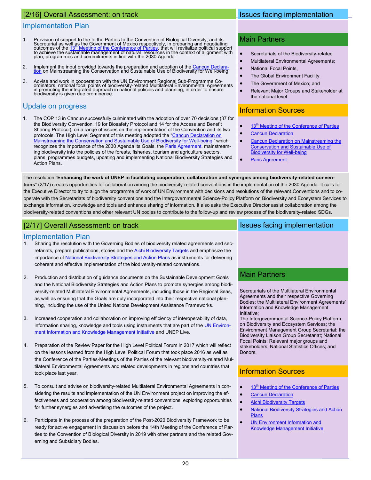# [2/16] Overall Assessment: on track

### Implementation Plan

- 1. Provision of support to the to the Parties to the Convention of Biological Diversity, and its Secretariat as well as the Government of Mexico respectively, in préparing and ńegotiating<br>outcomes of the 13<sup>in</sup> [Meeting of the Conference of Parties,](https://www.cbd.int/conferences/2016) that will revitalize political support<br>to achieve the sustainable mana
- 2. Implement the input provided towards the prepara[tion](https://www.cbd.int/cop/cop-13/hls/in-session/cancun-declaration-draft-dec-03-2016-pm-en.pdf) and adoption of the Cancun Declara-<br>tion on Mainstreaming the Conservation and Sustainable Use of Biodiversity for Well-being.
- 3. Advise and work in cooperation with the UN Environment Regional Sub-Programme Co-<br>ordinators, national focal points of biodiversity-related Multilateral Environmental Agreements<br>in promoting the integrated approach in n

## Update on progress

1. The COP 13 in Cancun successfully culminated with the adoption of over 70 decisions (37 for the Biodiversity Convention, 19 for Biosafety Protocol and 14 for the Access and Benefit Sharing Protocol), on a range of issues on the implementation of the Convention and its two protocols. The High Level Segment of this meeting adopted the ["Cancun Declaration on](https://www.cbd.int/cop/cop-13/hls/cancun%20declaration-en.pdf)  [Mainstreaming the Conservation and Sustainable Use of Biodiversity for Well](https://www.cbd.int/cop/cop-13/hls/cancun%20declaration-en.pdf)-being,' which recognizes the importance of the 2030 Agenda its Goals, the **Paris Agreement**, mainstreaming biodiversity into the policies of the forests, fisheries, tourism and agriculture sectors, plans, programmes budgets, updating and implementing National Biodiversity Strategies and Action Plans.

# Issues facing implementation

### Main Partners

- Secretariats of the Biodiversity-related
- Multilateral Environmental Agreements;
- National Focal Points,
- The Global Environment Facility;
- The Government of Mexico; and
- Relevant Major Groups and Stakeholder at the national level

# Information Sources

- 13<sup>th</sup> [Meeting of the Conference of Parties](https://www.cbd.int/conferences/2016)
- **[Cancun Declaration](https://www.cbd.int/cop/cop-13/hls/in-session/cancun-declaration-draft-dec-03-2016-pm-en.pdf)**
- [Cancun Declaration on Mainstreaming the](https://www.cbd.int/cop/cop-13/hls/cancun%20declaration-en.pdf)  [Conservation and Sustainable Use of](https://www.cbd.int/cop/cop-13/hls/cancun%20declaration-en.pdf)  [Biodiversity for Well](https://www.cbd.int/cop/cop-13/hls/cancun%20declaration-en.pdf)-being
- **[Paris Agreement](https://unfccc.int/files/essential_background/convention/application/pdf/english_paris_agreement.pdf)**

### The resolution "**Enhancing the work of UNEP in facilitating cooperation, collaboration and synergies among biodiversity-related conven-**

**tions**" (2/17) creates opportunities for collaboration among the biodiversity-related conventions in the implementation of the 2030 Agenda. It calls for the Executive Director to try to align the programme of work of UN Environment with decisions and resolutions of the relevant Conventions and to cooperate with the Secretariats of biodiversity conventions and the Intergovernmental Science-Policy Platform on Biodiversity and Ecosystem Services to exchange information, knowledge and tools and enhance sharing of information. It also asks the Executive Director assist collaboration among the biodiversity-related conventions and other relevant UN bodies to contribute to the follow-up and review process of the biodiversity-related SDGs.

# [2/17] Overall Assessment: on track Issues facing implementation in the Issues facing implementation

### Implementation Plan

- 1. Sharing the resolution with the Governing Bodies of biodiversity related agreements and secretariats, prepare publications, stories and the **[Aichi Biodiversity Targets](https://www.cbd.int/sp/targets/)** and emphasize the importance of [National Biodiversity Strategies and Action Plans](https://www.cbd.int/nbsap) as instruments for delivering coherent and effective implementation of the biodiversity-related conventions.
- 2. Production and distribution of guidance documents on the Sustainable Development Goals and the National Biodiversity Strategies and Action Plans to promote synergies among biodiversity-related Multilateral Environmental Agreements, including those in the Regional Seas, as well as ensuring that the Goals are duly incorporated into their respective national planning, including the use of the United Nations Development Assistance Frameworks.
- 3. Increased cooperation and collaboration on improving efficiency of interoperability of data, information sharing, knowledge and tools using instruments that are part of the [UN Environ](http://web.unep.org/environmentalgovernance/information-and-knowledge-management-initiative)[ment Information and Knowledge Management Initiative](http://web.unep.org/environmentalgovernance/information-and-knowledge-management-initiative) and UNEP Live.
- 4. Preparation of the Review Paper for the High Level Political Forum in 2017 which will reflect on the lessons learned from the High Level Political Forum that took place 2016 as well as the Conference of the Parties-Meetings of the Parties of the relevant biodiversity-related Multilateral Environmental Agreements and related developments in regions and countries that took place last year.
- 5. To consult and advise on biodiversity-related Multilateral Environmental Agreements in considering the results and implementation of the UN Environment project on improving the effectiveness and cooperation among biodiversity-related conventions, exploring opportunities for further synergies and advertising the outcomes of the project.
- 6. Participate in the process of the preparation of the Post-2020 Biodiversity Framework to be ready for active engagement in discussion before the 14th Meeting of the Conference of Parties to the Convention of Biological Diversity in 2019 with other partners and the related Governing and Subsidiary Bodies.

## Main Partners

Secretariats of the Multilateral Environmental Agreements and their respective Governing Bodies; the Multilateral Environment Agreements' Information and Knowledge Management Initiative;

The Intergovernmental Science-Policy Platform on Biodiversity and Ecosystem Services; the Environment Management Group Secretariat; the Biodiversity Liaison Group Secretariat; National Focal Points; Relevant major groups and stakeholders; National Statistics Offices; and **Donors** 

- 13<sup>th</sup> [Meeting of the Conference of Parties](https://www.cbd.int/conferences/2016)
- [Cancun Declaration](https://www.cbd.int/cop/cop-13/hls/in-session/cancun-declaration-draft-dec-03-2016-pm-en.pdf)
- [Aichi Biodiversity Targets](https://www.cbd.int/sp/targets/)
- [National Biodiversity Strategies and Action](https://www.cbd.int/nbsap)  [Plans](https://www.cbd.int/nbsap)
- [UN Environment Information and](http://web.unep.org/environmentalgovernance/information-and-knowledge-management-initiative)  [Knowledge Management Initiative](http://web.unep.org/environmentalgovernance/information-and-knowledge-management-initiative)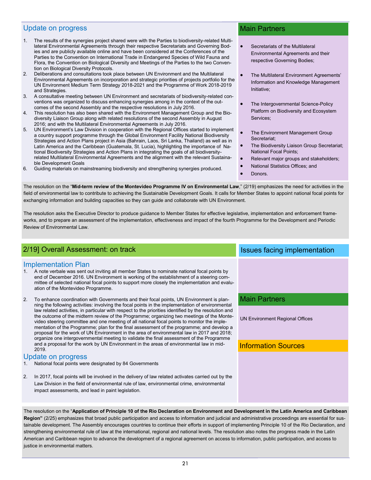### Update on progress

- 1. The results of the synergies project shared were with the Parties to biodiversity-related Multilateral Environmental Agreements through their respective Secretariats and Governing Bodies and are publicly available online and have been considered at the Conferences of the Parties to the Convention on International Trade in Endangered Species of Wild Fauna and Flora, the Convention on Biological Diversity and Meetings of the Parties to the two Convention on Biological Diversity Protocols.
- 2. Deliberations and consultations took place between UN Environment and the Multilateral Environmental Agreements on incorporation and strategic priorities of projects portfolio for the UN Environment Medium Term Strategy 2018-2021 and the Programme of Work 2018-2019 and Strategies.
- 3. A consultative meeting between UN Environment and secretariats of biodiversity-related conventions was organized to discuss enhancing synergies among in the context of the outcomes of the second Assembly and the respective resolutions in July 2016.
- This resolution has also been shared with the Environment Management Group and the Biodiversity Liaison Group along with related resolutions of the second Assembly in August 2016; and with the Multilateral Environmental Agreements in July 2016.
- 5. UN Environment's Law Division in cooperation with the Regional Offices started to implement a country support programme through the Global Environment Facility National Biodiversity Strategies and Action Plans project in Asia (Bahrain, Laos, Sri Lanka, Thailand) as well as in Latin America and the Caribbean (Guatemala, St. Lucia), highlighting the importance of National Biodiversity Strategies and Action Plans in integrating the goals of all biodiversityrelated Multilateral Environmental Agreements and the alignment with the relevant Sustainable Development Goals
- 6. Guiding materials on mainstreaming biodiversity and strengthening synergies produced.

### Main Partners

- Secretariats of the Multilateral Environmental Agreements and their respective Governing Bodies;
- The Multilateral Environment Agreements' Information and Knowledge Management Initiative;
- The Intergovernmental Science-Policy Platform on Biodiversity and Ecosystem Services;
- The Environment Management Group Secretariat;
- The Biodiversity Liaison Group Secretariat; National Focal Points;
- Relevant major groups and stakeholders;
- National Statistics Offices; and
- Donors.

The resolution on the "**Mid-term review of the Montevideo Programme IV on Environmental Law**," (2/19) emphasizes the need for activities in the field of environmental law to contribute to achieving the Sustainable Development Goals. It calls for Member States to appoint national focal points for exchanging information and building capacities so they can guide and collaborate with UN Environment.

The resolution asks the Executive Director to produce guidance to Member States for effective legislative, implementation and enforcement frameworks, and to prepare an assessment of the implementation, effectiveness and impact of the fourth Programme for the Development and Periodic Review of Environmental Law.

# 2/19] Overall Assessment: on track Issues facing implementation

### Implementation Plan

- 1. A note verbale was sent out inviting all member States to nominate national focal points by end of December 2016. UN Environment is working of the establishment of a steering committee of selected national focal points to support more closely the implementation and evaluation of the Montevideo Programme.
- 2. To enhance coordination with Governments and their focal points, UN Environment is planning the following activities: involving the focal points in the implementation of environmental law related activities, in particular with respect to the priorities identified by the resolution and the outcome of the midterm review of the Programme; organizing two meetings of the Montevideo steering committee and one meeting of all national focal points to monitor the implementation of the Programme; plan for the final assessment of the programme; and develop a proposal for the work of UN Environment in the area of environmental law in 2017 and 2018; organize one intergovernmental meeting to validate the final assessment of the Programme and a proposal for the work by UN Environment in the areas of environmental law in mid-2019.

### Update on progress

- 1. National focal points were designated by 84 Governments
- 2. In 2017, focal points will be involved in the delivery of law related activates carried out by the Law Division in the field of environmental rule of law, environmental crime, environmental impact assessments, and lead in paint legislation.

### Main Partners

UN Environment Regional Offices

### Information Sources

The resolution on the "**Application of Principle 10 of the Rio Declaration on Environment and Development in the Latin America and Caribbean Region"** (2/25) emphasizes that broad public participation and access to information and judicial and administrative proceedings are essential for sustainable development. The Assembly encourages countries to continue their efforts in support of implementing Principle 10 of the Rio Declaration, and strengthening environmental rule of law at the international, regional and national levels. The resolution also notes the progress made in the Latin American and Caribbean region to advance the development of a regional agreement on access to information, public participation, and access to justice in environmental matters.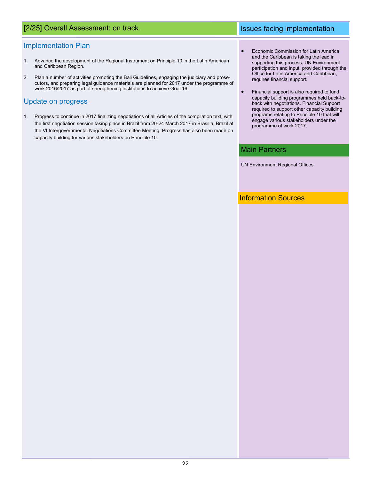# [2/25] Overall Assessment: on track Issues facing implementation

### Implementation Plan

- 1. Advance the development of the Regional Instrument on Principle 10 in the Latin American and Caribbean Region.
- 2. Plan a number of activities promoting the Bali Guidelines, engaging the judiciary and prosecutors, and preparing legal guidance materials are planned for 2017 under the programme of work 2016/2017 as part of strengthening institutions to achieve Goal 16.

### Update on progress

- 1. Progress to continue in 2017 finalizing negotiations of all Articles of the compilation text, with the first negotiation session taking place in Brazil from 20-24 March 2017 in Brasilia, Brazil at the VI Intergovernmental Negotiations Committee Meeting. Progress has also been made on capacity building for various stakeholders on Principle 10.
- Economic Commission for Latin America and the Caribbean is taking the lead in supporting this process. UN Environment participation and input, provided through the Office for Latin America and Caribbean, requires financial support.
- Financial support is also required to fund capacity building programmes held back-toback with negotiations. Financial Support required to support other capacity building programs relating to Principle 10 that will engage various stakeholders under the programme of work 2017.

### Main Partners

UN Environment Regional Offices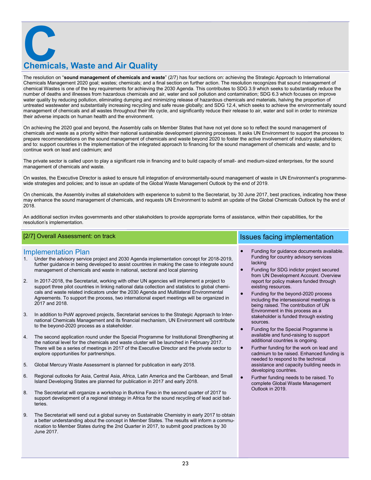**Chemicals, Waste and Air Quality** 

The resolution on "**sound management of chemicals and waste**" (2/7) has four sections on: achieving the Strategic Approach to International Chemicals Management 2020 goal; wastes; chemicals; and a final section on further action. The resolution recognizes that sound management of chemical Wastes is one of the key requirements for achieving the 2030 Agenda. This contributes to SDG 3.9 which seeks to substantially reduce the number of deaths and illnesses from hazardous chemicals and air, water and soil pollution and contamination; SDG 6.3 which focuses on improve water quality by reducing pollution, eliminating dumping and minimizing release of hazardous chemicals and materials, halving the proportion of untreated wastewater and substantially increasing recycling and safe reuse globally; and SDG 12.4, which seeks to achieve the environmentally sound management of chemicals and all wastes throughout their life cycle, and significantly reduce their release to air, water and soil in order to minimize their adverse impacts on human health and the environment.

On achieving the 2020 goal and beyond, the Assembly calls on Member States that have not yet done so to reflect the sound management of chemicals and waste as a priority within their national sustainable development planning processes. It asks UN Environment to support the process to prepare recommendations on the sound management of chemicals and waste beyond 2020 to foster the active involvement of industry stakeholders; and to: support countries in the implementation of the integrated approach to financing for the sound management of chemicals and waste; and to continue work on lead and cadmium; and

The private sector is called upon to play a significant role in financing and to build capacity of small- and medium-sized enterprises, for the sound management of chemicals and waste.

On wastes, the Executive Director is asked to ensure full integration of environmentally-sound management of waste in UN Environment's programmewide strategies and policies; and to issue an update of the Global Waste Management Outlook by the end of 2019.

On chemicals, the Assembly invites all stakeholders with experience to submit to the Secretariat, by 30 June 2017, best practices, indicating how these may enhance the sound management of chemicals, and requests UN Environment to submit an update of the Global Chemicals Outlook by the end of 2018.

An additional section invites governments and other stakeholders to provide appropriate forms of assistance, within their capabilities, for the resolution's implementation.

### [2/7] Overall Assessment: on track Issues facing implementation

### Implementation Plan

- 1. Under the advisory service project and 2030 Agenda implementation concept for 2018-2019, further guidance in being developed to assist countries in making the case to integrate sound management of chemicals and waste in national, sectoral and local planning
- 2. In 2017-2018, the Secretariat, working with other UN agencies will implement a project to support three pilot countries in linking national data collection and statistics to global chemicals and waste related indicators under the 2030 Agenda and Multilateral Environmental Agreements. To support the process, two international expert meetings will be organized in 2017 and 2018.
- 3. In addition to PoW approved projects, Secretariat services to the Strategic Approach to International Chemicals Management and its financial mechanism, UN Environment will contribute to the beyond-2020 process as a stakeholder.
- 4. The second application round under the Special Programme for Institutional Strengthening at the national level for the chemicals and waste cluster will be launched in February 2017. There will be a series of meetings in 2017 of the Executive Director and the private sector to explore opportunities for partnerships.
- 5. Global Mercury Waste Assessment is planned for publication in early 2018.
- 6. Regional outlooks for Asia, Central Asia, Africa, Latin America and the Caribbean, and Small Island Developing States are planned for publication in 2017 and early 2018.
- 8. The Secretariat will organize a workshop in Burkina Faso in the second quarter of 2017 to support development of a regional strategy in Africa for the sound recycling of lead acid batteries.
- 9. The Secretariat will send out a global survey on Sustainable Chemistry in early 2017 to obtain a better understanding about the concept in Member States. The results will inform a communication to Member States during the 2nd Quarter in 2017, to submit good practices by 30 June 2017.

| $\bullet$ | Funding for quidance documents available. |
|-----------|-------------------------------------------|
|           | Funding for country advisory services     |
|           | lacking                                   |

- Funding for SDG indictor project secured from UN Development Account. Overview report for policy makers funded through existing resources.
- Funding for the beyond-2020 process including the intersessional meetings is being raised. The contribution of UN Environment in this process as a stakeholder is funded through existing sources.
- Funding for the Special Programme is available and fund-raising to support additional countries is ongoing.
- Further funding for the work on lead and cadmium to be raised. Enhanced funding is needed to respond to the technical assistance and capacity building needs in developing countries.
- Further funding needs to be raised. To complete Global Waste Management Outlook in 2019.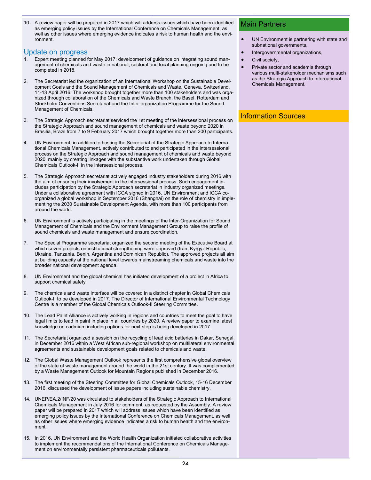10. A review paper will be prepared in 2017 which will address issues which have been identified as emerging policy issues by the International Conference on Chemicals Management, as well as other issues where emerging evidence indicates a risk to human health and the environment.

### Update on progress

- Expert meeting planned for May 2017; development of guidance on integrating sound management of chemicals and waste in national, sectoral and local planning ongoing and to be completed in 2018.
- 2. The Secretariat led the organization of an International Workshop on the Sustainable Development Goals and the Sound Management of Chemicals and Waste, Geneva, Switzerland, 11-13 April 2016. The workshop brought together more than 100 stakeholders and was organized through collaboration of the Chemicals and Waste Branch, the Basel, Rotterdam and Stockholm Conventions Secretariat and the Inter-organization Programme for the Sound Management of Chemicals.
- 3. The Strategic Approach secretariat serviced the 1st meeting of the intersessional process on the Strategic Approach and sound management of chemicals and waste beyond 2020 in Brasilia, Brazil from 7 to 9 February 2017 which brought together more than 200 participants.
- 4. UN Environment, in addition to hosting the Secretariat of the Strategic Approach to International Chemicals Management, actively contributed to and participated in the intersessional process on the Strategic Approach and sound management of chemicals and waste beyond 2020, mainly by creating linkages with the substantive work undertaken through Global Chemicals Outlook-II in the intersessional process.
- 5. The Strategic Approach secretariat actively engaged industry stakeholders during 2016 with the aim of ensuring their involvement in the intersessional process. Such engagement includes participation by the Strategic Approach secretariat in industry organized meetings. Under a collaborative agreement with ICCA signed in 2016, UN Environment and ICCA coorganized a global workshop in September 2016 (Shanghai) on the role of chemistry in implementing the 2030 Sustainable Development Agenda, with more than 100 participants from around the world.
- 6. UN Environment is actively participating in the meetings of the Inter-Organization for Sound Management of Chemicals and the Environment Management Group to raise the profile of sound chemicals and waste management and ensure coordination.
- 7. The Special Programme secretariat organized the second meeting of the Executive Board at which seven projects on institutional strengthening were approved (Iran, Kyrgyz Republic, Ukraine, Tanzania, Benin, Argentina and Dominican Republic). The approved projects all aim at building capacity at the national level towards mainstreaming chemicals and waste into the broader national development agenda.
- 8. UN Environment and the global chemical has initiated development of a project in Africa to support chemical safety
- 9. The chemicals and waste interface will be covered in a distinct chapter in Global Chemicals Outlook-II to be developed in 2017. The Director of International Environmental Technology Centre is a member of the Global Chemicals Outlook-II Steering Committee.
- 10. The Lead Paint Alliance is actively working in regions and countries to meet the goal to have legal limits to lead in paint in place in all countries by 2020. A review paper to examine latest knowledge on cadmium including options for next step is being developed in 2017.
- 11. The Secretariat organized a session on the recycling of lead acid batteries in Dakar, Senegal, in December 2016 within a West African sub-regional workshop on multilateral environmental agreements and sustainable development goals related to chemicals and waste.
- 12. The Global Waste Management Outlook represents the first comprehensive global overview of the state of waste management around the world in the 21st century. It was complemented by a Waste Management Outlook for Mountain Regions published in December 2016.
- 13. The first meeting of the Steering Committee for Global Chemicals Outlook, 15-16 December 2016, discussed the development of issue papers including sustainable chemistry.
- 14. UNEP/EA.2/INF/20 was circulated to stakeholders of the Strategic Approach to International Chemicals Management in July 2016 for comment, as requested by the Assembly. A review paper will be prepared in 2017 which will address issues which have been identified as emerging policy issues by the International Conference on Chemicals Management, as well as other issues where emerging evidence indicates a risk to human health and the environment.
- 15. In 2016, UN Environment and the World Health Organization initiated collaborative activities to implement the recommendations of the International Conference on Chemicals Management on environmentally persistent pharmaceuticals pollutants.

### Main Partners

- UN Environment is partnering with state and subnational governments,
- Intergovernmental organizations,
- Civil society,
- Private sector and academia through various multi-stakeholder mechanisms such as the Strategic Approach to International Chemicals Management.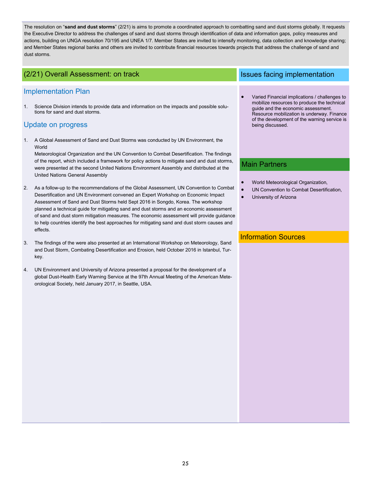The resolution on "**sand and dust storms**" (2/21) is aims to promote a coordinated approach to combatting sand and dust storms globally. It requests the Executive Director to address the challenges of sand and dust storms through identification of data and information gaps, policy measures and actions, building on UNGA resolution 70/195 and UNEA 1/7. Member States are invited to intensify monitoring, data collection and knowledge sharing; and Member States regional banks and others are invited to contribute financial resources towards projects that address the challenge of sand and dust storms.

# (2/21) Overall Assessment: on track Issues facing implementation

### Implementation Plan

1. Science Division intends to provide data and information on the impacts and possible solutions for sand and dust storms.

## Update on progress

1. A Global Assessment of Sand and Dust Storms was conducted by UN Environment, the World

Meteorological Organization and the UN Convention to Combat Desertification. The findings of the report, which included a framework for policy actions to mitigate sand and dust storms, were presented at the second United Nations Environment Assembly and distributed at the United Nations General Assembly

- 2. As a follow-up to the recommendations of the Global Assessment, UN Convention to Combat Desertification and UN Environment convened an Expert Workshop on Economic Impact Assessment of Sand and Dust Storms held Sept 2016 in Songdo, Korea. The workshop planned a technical guide for mitigating sand and dust storms and an economic assessment of sand and dust storm mitigation measures. The economic assessment will provide guidance to help countries identify the best approaches for mitigating sand and dust storm causes and effects.
- 3. The findings of the were also presented at an International Workshop on Meteorology, Sand and Dust Storm, Combating Desertification and Erosion, held October 2016 in Istanbul, Turkey.
- 4. UN Environment and University of Arizona presented a proposal for the development of a global Dust-Health Early Warning Service at the 97th Annual Meeting of the American Meteorological Society, held January 2017, in Seattle, USA.

 Varied Financial implications / challenges to mobilize resources to produce the technical guide and the economic assessment. Resource mobilization is underway. Finance of the development of the warning service is being discussed.

## Main Partners

- World Meteorological Organization,
- UN Convention to Combat Desertification,
- University of Arizona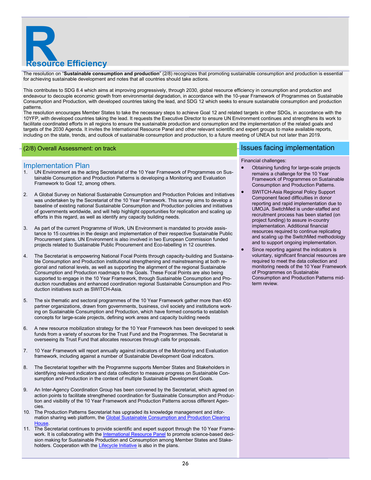

The resolution on "**Sustainable consumption and production**" (2/8) recognizes that promoting sustainable consumption and production is essential for achieving sustainable development and notes that all countries should take actions.

This contributes to SDG 8.4 which aims at improving progressively, through 2030, global resource efficiency in consumption and production and endeavour to decouple economic growth from environmental degradation, in accordance with the 10-year Framework of Programmes on Sustainable Consumption and Production, with developed countries taking the lead, and SDG 12 which seeks to ensure sustainable consumption and production patterns.

The resolution encourages Member States to take the necessary steps to achieve Goal 12 and related targets in other SDGs, in accordance with the 10YFP, with developed countries taking the lead. It requests the Executive Director to ensure UN Environment continues and strengthens its work to facilitate coordinated efforts in all regions to ensure the sustainable production and consumption and the implementation of the related goals and targets of the 2030 Agenda. It invites the International Resource Panel and other relevant scientific and expert groups to make available reports, including on the state, trends, and outlook of sustainable consumption and production, to a future meeting of UNEA but not later than 2019.

### Implementation Plan

- 1. UN Environment as the acting Secretariat of the 10 Year Framework of Programmes on Sustainable Consumption and Production Patterns is developing a Monitoring and Evaluation Framework to Goal 12, among others.
- 2. A Global Survey on National Sustainable Consumption and Production Policies and Initiatives was undertaken by the Secretariat of the 10 Year Framework. This survey aims to develop a baseline of existing national Sustainable Consumption and Production policies and initiatives of governments worldwide, and will help highlight opportunities for replication and scaling up efforts in this regard, as well as identify any capacity building needs.
- 3. As part of the current Programme of Work, UN Environment is mandated to provide assistance to 15 countries in the design and implementation of their respective Sustainable Public Procurement plans. UN Environment is also involved in two European Commission funded projects related to Sustainable Public Procurement and Eco-labelling in 12 countries.
- 4. The Secretariat is empowering National Focal Points through capacity-building and Sustainable Consumption and Production institutional strengthening and mainstreaming at both regional and national levels, as well as supporting the alignment of the regional Sustainable Consumption and Production roadmaps to the Goals. These Focal Points are also being supported to engage in the 10 Year Framework, through Sustainable Consumption and Production roundtables and enhanced coordination regional Sustainable Consumption and Production initiatives such as SWITCH-Asia.
- 5. The six thematic and sectoral programmes of the 10 Year Framework gather more than 450 partner organizations, drawn from governments, business, civil society and institutions working on Sustainable Consumption and Production, which have formed consortia to establish concepts for large-scale projects, defining work areas and capacity building needs
- 6. A new resource mobilization strategy for the 10 Year Framework has been developed to seek funds from a variety of sources for the Trust Fund and the Programmes. The Secretariat is overseeing its Trust Fund that allocates resources through calls for proposals.
- 7. 10 Year Framework will report annually against indicators of the Monitoring and Evaluation framework, including against a number of Sustainable Development Goal indicators.
- 8. The Secretariat together with the Programme supports Member States and Stakeholders in identifying relevant indicators and data collection to measure progress on Sustainable Consumption and Production in the context of multiple Sustainable Development Goals.
- 9. An Inter-Agency Coordination Group has been convened by the Secretariat, which agreed on action points to facilitate strengthened coordination for Sustainable Consumption and Production and visibility of the 10 Year Framework and Production Patterns across different Agencies.
- 10. The Production Patterns Secretariat has upgraded its knowledge management and information sharing web platform, the Global Sustainable Consumption and Production Clearing **House**
- 11. The Secretariat continues to provide scientific and expert support through the 10 Year Frame-work. It is collaborating with the [International Resource Panel](http://www.unep.org/resourcepanel/) to promote science-based decision making for Sustainable Production and Consumption among Member States and Stake-holders. Cooperation with the [Lifecycle Initiative](http://www.lifecycleinitiative.org/) is also in the plans.

### (2/8) Overall Assessment: on track Issues facing implementation in the state of the state of the state of the state of the state of the state of the state of the state of the state of the state of the state of the state of

### Financial challenges:

- Obtaining funding for large-scale projects remains a challenge for the 10 Year Framework of Programmes on Sustainable Consumption and Production Patterns.
- SWITCH-Asia Regional Policy Support Component faced difficulties in donor reporting and rapid implementation due to UMOJA. SwitchMed is under-staffed and recruitment process has been started (on project funding) to assure in-country implementation. Additional financial resources required to continue replicating and scaling up the SwitchMed methodology and to support ongoing implementation.
- Since reporting against the indicators is voluntary, significant financial resources are required to meet the data collection and monitoring needs of the 10 Year Framework of Programmes on Sustainable Consumption and Production Patterns midterm review.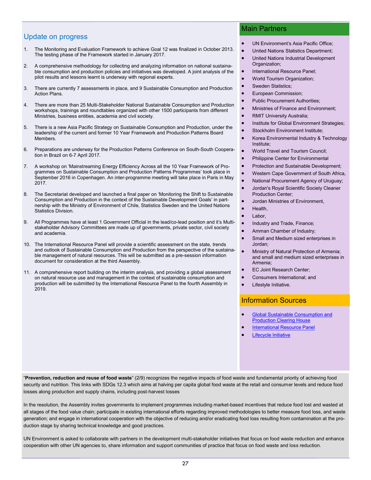### Update on progress

- 1. The Monitoring and Evaluation Framework to achieve Goal 12 was finalized in October 2013. The testing phase of the Framework started in January 2017.
- 2. A comprehensive methodology for collecting and analyzing information on national sustainable consumption and production policies and initiatives was developed. A joint analysis of the pilot results and lessons learnt is underway with regional experts.
- 3. There are currently 7 assessments in place, and 9 Sustainable Consumption and Production Action Plans.
- 4. There are more than 25 Multi-Stakeholder National Sustainable Consumption and Production workshops, trainings and roundtables organized with other 1500 participants from different Ministries, business entities, academia and civil society.
- 5. There is a new Asia Pacific Strategy on Sustainable Consumption and Production, under the leadership of the current and former 10 Year Framework and Production Patterns Board Members.
- 6. Preparations are underway for the Production Patterns Conference on South-South Cooperation in Brazil on 6-7 April 2017.
- 7. A workshop on 'Mainstreaming Energy Efficiency Across all the 10 Year Framework of Programmes on Sustainable Consumption and Production Patterns Programmes' took place in September 2016 in Copenhagen. An inter-programme meeting will take place in Paris in May 2017.
- 8. The Secretariat developed and launched a final paper on 'Monitoring the Shift to Sustainable Consumption and Production in the context of the Sustainable Development Goals' in partnership with the Ministry of Environment of Chile, Statistics Sweden and the United Nations Statistics Division.
- 9. All Programmes have at least 1 Government Official in the lead/co-lead position and it's Multistakeholder Advisory Committees are made up of governments, private sector, civil society and academia.
- 10. The International Resource Panel will provide a scientific assessment on the state, trends and outlook of Sustainable Consumption and Production from the perspective of the sustainable management of natural resources. This will be submitted as a pre-session information document for consideration at the third Assembly.
- 11. A comprehensive report building on the interim analysis, and providing a global assessment on natural resource use and management in the context of sustainable consumption and production will be submitted by the International Resource Panel to the fourth Assembly in 2019.

### Main Partners

- UN Environment's Asia Pacific Office;
- United Nations Statistics Department;
- United Nations Industrial Development Organization;
- International Resource Panel;
- World Tourism Organization;
- Sweden Statistics;
- European Commission;
- Public Procurement Authorities;
- Ministries of Finance and Environment;
- RMIT University Australia;
- Institute for Global Environment Strategies;
- Stockholm Environment Institute;
- Korea Environmental Industry & Technology Institute;
- World Travel and Tourism Council;
- Philippine Center for Environmental
- Protection and Sustainable Development;
- Western Cape Government of South Africa,
- National Procurement Agency of Uruguay;
- Jordan's Royal Scientific Society Cleaner Production Center;
- Jordan Ministries of Environment,
	- Health,
- Labor
- Industry and Trade, Finance;
- Amman Chamber of Industry;
- Small and Medium sized enterprises in Jordan;
- Ministry of Natural Protection of Armenia; and small and medium sized enterprises in Armenia;
- EC Joint Research Center;
- Consumers International; and
- Lifestyle Initiative.

### Information Sources

- [Global Sustainable Consumption and](http://www.scpclearinghouse.org/)  **[Production Clearing House](http://www.scpclearinghouse.org/)**
- [International Resource Panel](http://www.unep.org/resourcepanel/)
- [Lifecycle Initiative](http://www.lifecycleinitiative.org/)

"**Prevention, reduction and reuse of food waste**" (2/9) recognizes the negative impacts of food waste and fundamental priority of achieving food security and nutrition. This links with SDGs 12.3 which aims at halving per capita global food waste at the retail and consumer levels and reduce food losses along production and supply chains, including post-harvest losses

In the resolution, the Assembly invites governments to implement programmes including market-based incentives that reduce food lost and wasted at all stages of the food value chain; participate in existing international efforts regarding improved methodologies to better measure food loss, and waste generation; and engage in international cooperation with the objective of reducing and/or eradicating food loss resulting from contamination at the production stage by sharing technical knowledge and good practices.

UN Environment is asked to collaborate with partners in the development multi-stakeholder initiatives that focus on food waste reduction and enhance cooperation with other UN agencies to, share information and support communities of practice that focus on food waste and loss reduction.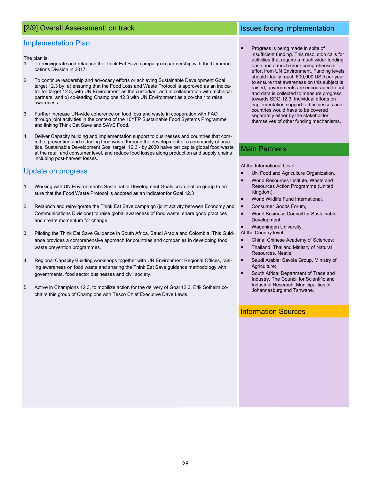### [2/9] Overall Assessment: on track Issues facing implementation

### Implementation Plan

The plan is:

- 1. To reinvigorate and relaunch the Think Eat Save campaign in partnership with the Communications Division in 2017.
- 2. To continue leadership and advocacy efforts or achieving Sustainable Development Goal target 12.3 by: a) ensuring that the Food Loss and Waste Protocol is approved as an indicator for target 12.3, with UN Environment as the custodian, and in collaboration with technical partners, and b) co-leading Champions 12.3 with UN Environment as a co-chair to raise awareness.
- 3. Further increase UN-wide coherence on food loss and waste in cooperation with FAO through joint activities in the context of the 10YFP Sustainable Food Systems Programme and linking Think Eat Save and SAVE Food.
- 4. Deliver Capacity building and implementation support to businesses and countries that commit to preventing and reducing food waste through the development of a community of practice. Sustainable Development Goal target: 12.3 - by 2030 halve per capita global food waste at the retail and consumer level, and reduce food losses along production and supply chains including post-harvest losses.

### Update on progress

- 1. Working with UN Environment's Sustainable Development Goals coordination group to ensure that the Food Waste Protocol is adopted as an indicator for Goal 12.3
- 2. Relaunch and reinvigorate the Think Eat Save campaign (joint activity between Economy and Communications Divisions) to raise global awareness of food waste, share good practices and create momentum for change.
- 3. Piloting the Think Eat Save Guidance in South Africa, Saudi Arabia and Colombia. This Guidance provides a comprehensive approach for countries and companies in developing food waste prevention programmes.
- 4. Regional Capacity Building workshops together with UN Environment Regional Offices, raising awareness on food waste and sharing the Think Eat Save guidance methodology with governments, food sector businesses and civil society.
- 5. Active in Champions 12.3, to mobilize action for the delivery of Goal 12.3. Erik Solheim cochairs this group of Champions with Tesco Chief Executive Dave Lewis.

 Progress is being made in spite of insufficient funding. This resolution calls for activities that require a much wider funding base and a much more comprehensive effort from UN Environment. Funding levels should ideally reach 600,000 USD per year to ensure that awareness on this subject is raised, governments are encouraged to act and data is collected to measure progress towards SDG 12.3. Individual efforts on implementation support to businesses and countries would have to be covered separately either by the stakeholder themselves of other funding mechanisms.

### Main Partners

At the International Level:

- UN Food and Agriculture Organization,
- World Resources Institute, Waste and Resources Action Programme (United Kingdom),
- World Wildlife Fund International,
- Consumer Goods Forum,
- World Business Council for Sustainable Development,
- Wageningen University.
- At the Country level:
- China: Chinese Academy of Sciences;
- Thailand: Thailand Ministry of Natural Resources, Nestle;
- Saudi Arabia: Savola Group, Ministry of Agriculture;
- South Africa: Department of Trade and Industry, The Council for Scientific and Industrial Research, Municipalities of Johannesburg and Tshwane.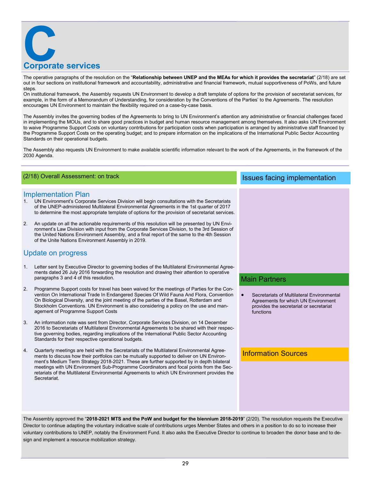

The operative paragraphs of the resolution on the "**Relationship between UNEP and the MEAs for which it provides the secretariat**" (2/18) are set out in four sections on institutional framework and accountability, administrative and financial framework, mutual supportiveness of PoWs, and future steps.

On institutional framework, the Assembly requests UN Environment to develop a draft template of options for the provision of secretariat services, for example, in the form of a Memorandum of Understanding, for consideration by the Conventions of the Parties' to the Agreements. The resolution encourages UN Environment to maintain the flexibility required on a case-by-case basis.

The Assembly invites the governing bodies of the Agreements to bring to UN Environment's attention any administrative or financial challenges faced in implementing the MOUs, and to share good practices in budget and human resource management among themselves. It also asks UN Environment to waive Programme Support Costs on voluntary contributions for participation costs when participation is arranged by administrative staff financed by the Programme Support Costs on the operating budget; and to prepare information on the implications of the International Public Sector Accounting Standards on their operational budgets.

The Assembly also requests UN Environment to make available scientific information relevant to the work of the Agreements, in the framework of the 2030 Agenda.

### Implementation Plan

- 1. UN Environment's Corporate Services Division will begin consultations with the Secretariats of the UNEP-administered Multilateral Environmental Agreements in the 1st quarter of 2017 to determine the most appropriate template of options for the provision of secretariat services.
- 2. An update on all the actionable requirements of this resolution will be presented by UN Environment's Law Division with input from the Corporate Services Division, to the 3rd Session of the United Nations Environment Assembly, and a final report of the same to the 4th Session of the Unite Nations Environment Assembly in 2019.

### Update on progress

- Letter sent by Executive Director to governing bodies of the Multilateral Environmental Agreements dated 26 July 2016 forwarding the resolution and drawing their attention to operative paragraphs 3 and 4 of this resolution.
- 2. Programme Support costs for travel has been waived for the meetings of Parties for the Convention On International Trade In Endangered Species Of Wild Fauna And Flora, Convention On Biological Diversity, and the joint meeting of the parties of the Basel, Rotterdam and Stockholm Conventions. UN Environment is also considering a policy on the use and management of Programme Support Costs
- 3. An information note was sent from Director, Corporate Services Division, on 14 December 2016 to Secretariats of Multilateral Environmental Agreements to be shared with their respective governing bodies, regarding implications of the International Public Sector Accounting Standards for their respective operational budgets.
- 4. Quarterly meetings are held with the Secretariats of the Multilateral Environmental Agreements to discuss how their portfolios can be mutually supported to deliver on UN Environment's Medium Term Strategy 2018-2021. These are further supported by in depth bilateral meetings with UN Environment Sub-Programme Coordinators and focal points from the Secretariats of the Multilateral Environmental Agreements to which UN Environment provides the Secretariat.

## (2/18) Overall Assessment: on track Issues facing implementation

### Main Partners

 Secretariats of Multilateral Environmental Agreements for which UN Environment provides the secretariat or secretariat functions

### Information Sources

The Assembly approved the "**2018-2021 MTS and the PoW and budget for the biennium 2018-2019**" (2/20). The resolution requests the Executive Director to continue adapting the voluntary indicative scale of contributions urges Member States and others in a position to do so to increase their voluntary contributions to UNEP, notably the Environment Fund. It also asks the Executive Director to continue to broaden the donor base and to design and implement a resource mobilization strategy.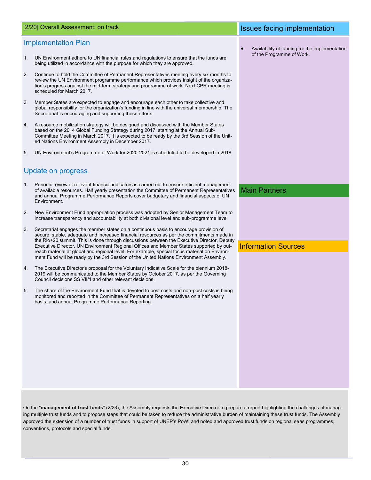### Implementation Plan

- 1. UN Environment adhere to UN financial rules and regulations to ensure that the funds are being utilized in accordance with the purpose for which they are approved.
- 2. Continue to hold the Committee of Permanent Representatives meeting every six months to review the UN Environment programme performance which provides insight of the organization's progress against the mid-term strategy and programme of work. Next CPR meeting is scheduled for March 2017.
- 3. Member States are expected to engage and encourage each other to take collective and global responsibility for the organization's funding in line with the universal membership. The Secretariat is encouraging and supporting these efforts.
- 4. A resource mobilization strategy will be designed and discussed with the Member States based on the 2014 Global Funding Strategy during 2017, starting at the Annual Sub-Committee Meeting in March 2017. It is expected to be ready by the 3rd Session of the United Nations Environment Assembly in December 2017.
- 5. UN Environment's Programme of Work for 2020-2021 is scheduled to be developed in 2018.

### Update on progress

- 1. Periodic review of relevant financial indicators is carried out to ensure efficient management of available resources. Half yearly presentation the Committee of Permanent Representatives and annual Programme Performance Reports cover budgetary and financial aspects of UN Environment.
- 2. New Environment Fund appropriation process was adopted by Senior Management Team to increase transparency and accountability at both divisional level and sub-programme level
- 3. Secretariat engages the member states on a continuous basis to encourage provision of secure, stable, adequate and increased financial resources as per the commitments made in the Rio+20 summit. This is done through discussions between the Executive Director, Deputy Executive Director, UN Environment Regional Offices and Member States supported by outreach material at global and regional level. For example, special focus material on Environment Fund will be ready by the 3rd Session of the United Nations Environment Assembly.
- 4. The Executive Director's proposal for the Voluntary Indicative Scale for the biennium 2018- 2019 will be communicated to the Member States by October 2017, as per the Governing Council decisions SS.VII/1 and other relevant decisions.
- 5. The share of the Environment Fund that is devoted to post costs and non-post costs is being monitored and reported in the Committee of Permanent Representatives on a half yearly basis, and annual Programme Performance Reporting.

### [2/20] Overall Assessment: on track Issues facing implementation

 Availability of funding for the implementation of the Programme of Work.

Main Partners

### Information Sources

On the "**management of trust funds**" (2/23), the Assembly requests the Executive Director to prepare a report highlighting the challenges of managing multiple trust funds and to propose steps that could be taken to reduce the administrative burden of maintaining these trust funds. The Assembly approved the extension of a number of trust funds in support of UNEP's PoW; and noted and approved trust funds on regional seas programmes, conventions, protocols and special funds.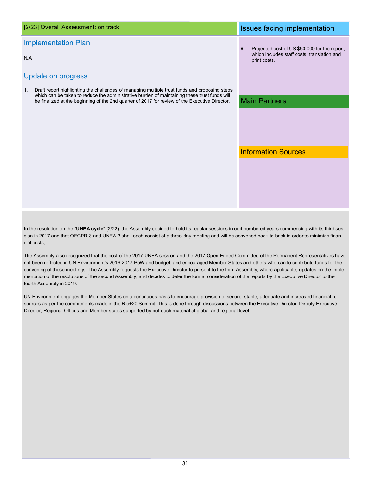# Projected cost of US \$50,000 for the report, which includes staff costs, translation and print costs. Implementation Plan N/A Update on progress 1. Draft report highlighting the challenges of managing multiple trust funds and proposing steps which can be taken to reduce the administrative burden of maintaining these trust funds will be finalized at the beginning of the 2nd quarter of 2017 for review of the Executive Director. [2/23] Overall Assessment: on track Issues facing implementation Main Partners Information Sources

In the resolution on the "**UNEA cycle**" (2/22), the Assembly decided to hold its regular sessions in odd numbered years commencing with its third session in 2017 and that OECPR-3 and UNEA-3 shall each consist of a three-day meeting and will be convened back-to-back in order to minimize financial costs;

The Assembly also recognized that the cost of the 2017 UNEA session and the 2017 Open Ended Committee of the Permanent Representatives have not been reflected in UN Environment's 2016-2017 PoW and budget, and encouraged Member States and others who can to contribute funds for the convening of these meetings. The Assembly requests the Executive Director to present to the third Assembly, where applicable, updates on the implementation of the resolutions of the second Assembly; and decides to defer the formal consideration of the reports by the Executive Director to the fourth Assembly in 2019.

UN Environment engages the Member States on a continuous basis to encourage provision of secure, stable, adequate and increased financial resources as per the commitments made in the Rio+20 Summit. This is done through discussions between the Executive Director, Deputy Executive Director, Regional Offices and Member states supported by outreach material at global and regional level